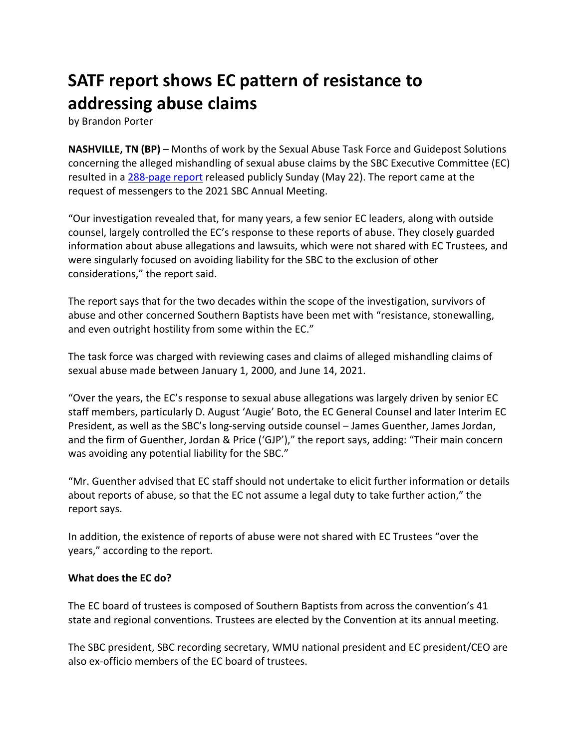# **SATF report shows EC pattern of resistance to addressing abuse claims**

by Brandon Porter

**NASHVILLE, TN (BP)** – Months of work by the Sexual Abuse Task Force and Guidepost Solutions concerning the alleged mishandling of sexual abuse claims by the SBC Executive Committee (EC) resulted in a 288-page report released publicly Sunday (May 22). The report came at the request of messengers to the 2021 SBC Annual Meeting.

"Our investigation revealed that, for many years, a few senior EC leaders, along with outside counsel, largely controlled the EC's response to these reports of abuse. They closely guarded information about abuse allegations and lawsuits, which were not shared with EC Trustees, and were singularly focused on avoiding liability for the SBC to the exclusion of other considerations," the report said.

The report says that for the two decades within the scope of the investigation, survivors of abuse and other concerned Southern Baptists have been met with "resistance, stonewalling, and even outright hostility from some within the EC."

The task force was charged with reviewing cases and claims of alleged mishandling claims of sexual abuse made between January 1, 2000, and June 14, 2021.

"Over the years, the EC's response to sexual abuse allegations was largely driven by senior EC staff members, particularly D. August 'Augie' Boto, the EC General Counsel and later Interim EC President, as well as the SBC's long-serving outside counsel – James Guenther, James Jordan, and the firm of Guenther, Jordan & Price ('GJP')," the report says, adding: "Their main concern was avoiding any potential liability for the SBC."

"Mr. Guenther advised that EC staff should not undertake to elicit further information or details about reports of abuse, so that the EC not assume a legal duty to take further action," the report says.

In addition, the existence of reports of abuse were not shared with EC Trustees "over the years," according to the report.

## **What does the EC do?**

The EC board of trustees is composed of Southern Baptists from across the convention's 41 state and regional conventions. Trustees are elected by the Convention at its annual meeting.

The SBC president, SBC recording secretary, WMU national president and EC president/CEO are also ex-officio members of the EC board of trustees.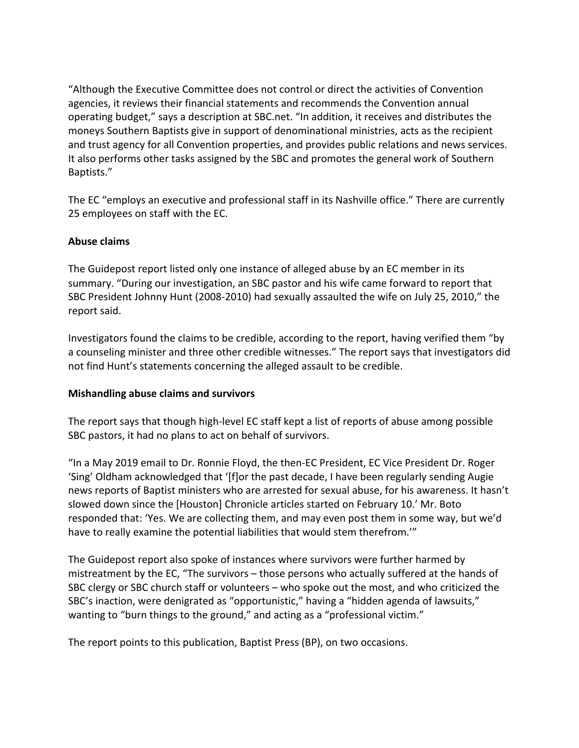"Although the Executive Committee does not control or direct the activities of Convention agencies, it reviews their financial statements and recommends the Convention annual operating budget," says a description at SBC.net. "In addition, it receives and distributes the moneys Southern Baptists give in support of denominational ministries, acts as the recipient and trust agency for all Convention properties, and provides public relations and news services. It also performs other tasks assigned by the SBC and promotes the general work of Southern Baptists."

The EC "employs an executive and professional staff in its Nashville office." There are currently 25 employees on staff with the EC.

## **Abuse claims**

The Guidepost report listed only one instance of alleged abuse by an EC member in its summary. "During our investigation, an SBC pastor and his wife came forward to report that SBC President Johnny Hunt (2008-2010) had sexually assaulted the wife on July 25, 2010," the report said.

Investigators found the claims to be credible, according to the report, having verified them "by a counseling minister and three other credible witnesses." The report says that investigators did not find Hunt's statements concerning the alleged assault to be credible.

#### **Mishandling abuse claims and survivors**

The report says that though high-level EC staff kept a list of reports of abuse among possible SBC pastors, it had no plans to act on behalf of survivors.

"In a May 2019 email to Dr. Ronnie Floyd, the then-EC President, EC Vice President Dr. Roger 'Sing' Oldham acknowledged that '[f]or the past decade, I have been regularly sending Augie news reports of Baptist ministers who are arrested for sexual abuse, for his awareness. It hasn't slowed down since the [Houston] Chronicle articles started on February 10.' Mr. Boto responded that: 'Yes. We are collecting them, and may even post them in some way, but we'd have to really examine the potential liabilities that would stem therefrom.'"

The Guidepost report also spoke of instances where survivors were further harmed by mistreatment by the EC, "The survivors – those persons who actually suffered at the hands of SBC clergy or SBC church staff or volunteers – who spoke out the most, and who criticized the SBC's inaction, were denigrated as "opportunistic," having a "hidden agenda of lawsuits," wanting to "burn things to the ground," and acting as a "professional victim."

The report points to this publication, Baptist Press (BP), on two occasions.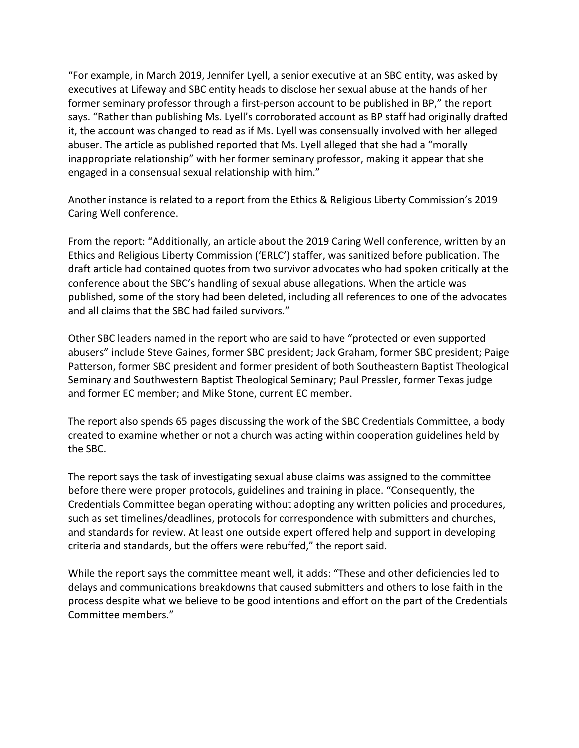"For example, in March 2019, Jennifer Lyell, a senior executive at an SBC entity, was asked by executives at Lifeway and SBC entity heads to disclose her sexual abuse at the hands of her former seminary professor through a first-person account to be published in BP," the report says. "Rather than publishing Ms. Lyell's corroborated account as BP staff had originally drafted it, the account was changed to read as if Ms. Lyell was consensually involved with her alleged abuser. The article as published reported that Ms. Lyell alleged that she had a "morally inappropriate relationship" with her former seminary professor, making it appear that she engaged in a consensual sexual relationship with him."

Another instance is related to a report from the Ethics & Religious Liberty Commission's 2019 Caring Well conference.

From the report: "Additionally, an article about the 2019 Caring Well conference, written by an Ethics and Religious Liberty Commission ('ERLC') staffer, was sanitized before publication. The draft article had contained quotes from two survivor advocates who had spoken critically at the conference about the SBC's handling of sexual abuse allegations. When the article was published, some of the story had been deleted, including all references to one of the advocates and all claims that the SBC had failed survivors."

Other SBC leaders named in the report who are said to have "protected or even supported abusers" include Steve Gaines, former SBC president; Jack Graham, former SBC president; Paige Patterson, former SBC president and former president of both Southeastern Baptist Theological Seminary and Southwestern Baptist Theological Seminary; Paul Pressler, former Texas judge and former EC member; and Mike Stone, current EC member.

The report also spends 65 pages discussing the work of the SBC Credentials Committee, a body created to examine whether or not a church was acting within cooperation guidelines held by the SBC.

The report says the task of investigating sexual abuse claims was assigned to the committee before there were proper protocols, guidelines and training in place. "Consequently, the Credentials Committee began operating without adopting any written policies and procedures, such as set timelines/deadlines, protocols for correspondence with submitters and churches, and standards for review. At least one outside expert offered help and support in developing criteria and standards, but the offers were rebuffed," the report said.

While the report says the committee meant well, it adds: "These and other deficiencies led to delays and communications breakdowns that caused submitters and others to lose faith in the process despite what we believe to be good intentions and effort on the part of the Credentials Committee members."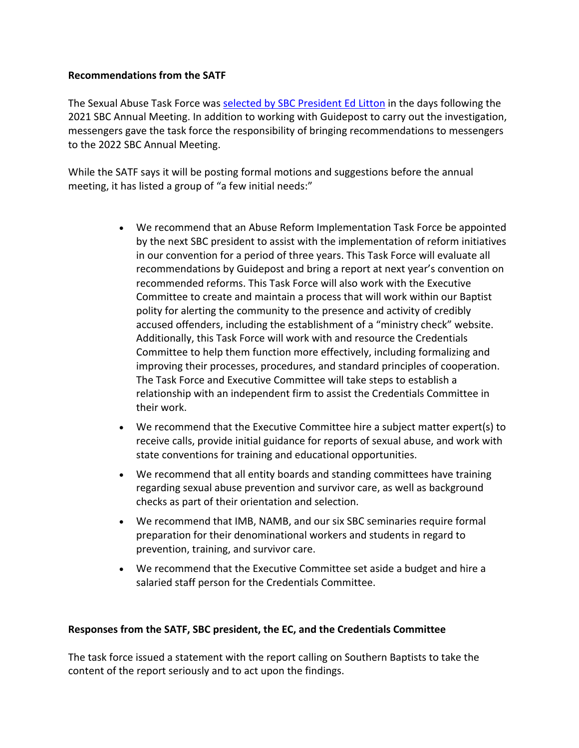## **Recommendations from the SATF**

The Sexual Abuse Task Force was selected by SBC President Ed Litton in the days following the 2021 SBC Annual Meeting. In addition to working with Guidepost to carry out the investigation, messengers gave the task force the responsibility of bringing recommendations to messengers to the 2022 SBC Annual Meeting.

While the SATF says it will be posting formal motions and suggestions before the annual meeting, it has listed a group of "a few initial needs:"

- We recommend that an Abuse Reform Implementation Task Force be appointed by the next SBC president to assist with the implementation of reform initiatives in our convention for a period of three years. This Task Force will evaluate all recommendations by Guidepost and bring a report at next year's convention on recommended reforms. This Task Force will also work with the Executive Committee to create and maintain a process that will work within our Baptist polity for alerting the community to the presence and activity of credibly accused offenders, including the establishment of a "ministry check" website. Additionally, this Task Force will work with and resource the Credentials Committee to help them function more effectively, including formalizing and improving their processes, procedures, and standard principles of cooperation. The Task Force and Executive Committee will take steps to establish a relationship with an independent firm to assist the Credentials Committee in their work.
- We recommend that the Executive Committee hire a subject matter expert(s) to receive calls, provide initial guidance for reports of sexual abuse, and work with state conventions for training and educational opportunities.
- We recommend that all entity boards and standing committees have training regarding sexual abuse prevention and survivor care, as well as background checks as part of their orientation and selection.
- We recommend that IMB, NAMB, and our six SBC seminaries require formal preparation for their denominational workers and students in regard to prevention, training, and survivor care.
- We recommend that the Executive Committee set aside a budget and hire a salaried staff person for the Credentials Committee.

## **Responses from the SATF, SBC president, the EC, and the Credentials Committee**

The task force issued a statement with the report calling on Southern Baptists to take the content of the report seriously and to act upon the findings.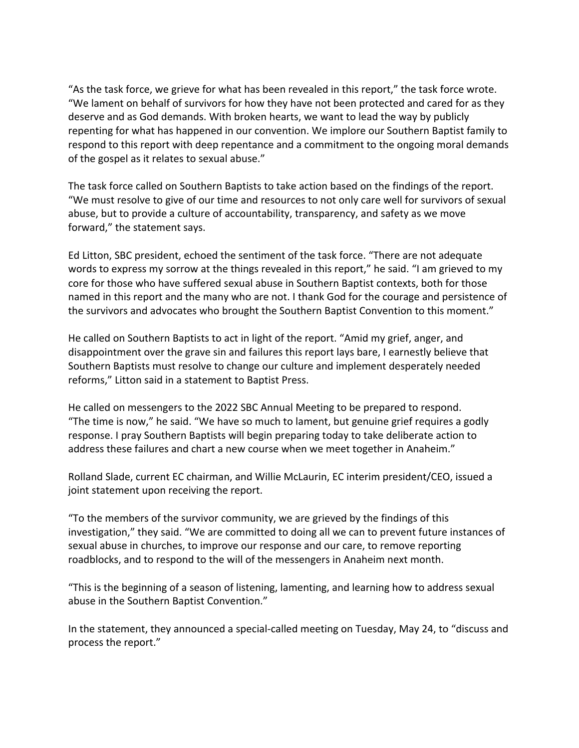"As the task force, we grieve for what has been revealed in this report," the task force wrote. "We lament on behalf of survivors for how they have not been protected and cared for as they deserve and as God demands. With broken hearts, we want to lead the way by publicly repenting for what has happened in our convention. We implore our Southern Baptist family to respond to this report with deep repentance and a commitment to the ongoing moral demands of the gospel as it relates to sexual abuse."

The task force called on Southern Baptists to take action based on the findings of the report. "We must resolve to give of our time and resources to not only care well for survivors of sexual abuse, but to provide a culture of accountability, transparency, and safety as we move forward," the statement says.

Ed Litton, SBC president, echoed the sentiment of the task force. "There are not adequate words to express my sorrow at the things revealed in this report," he said. "I am grieved to my core for those who have suffered sexual abuse in Southern Baptist contexts, both for those named in this report and the many who are not. I thank God for the courage and persistence of the survivors and advocates who brought the Southern Baptist Convention to this moment."

He called on Southern Baptists to act in light of the report. "Amid my grief, anger, and disappointment over the grave sin and failures this report lays bare, I earnestly believe that Southern Baptists must resolve to change our culture and implement desperately needed reforms," Litton said in a statement to Baptist Press.

He called on messengers to the 2022 SBC Annual Meeting to be prepared to respond. "The time is now," he said. "We have so much to lament, but genuine grief requires a godly response. I pray Southern Baptists will begin preparing today to take deliberate action to address these failures and chart a new course when we meet together in Anaheim."

Rolland Slade, current EC chairman, and Willie McLaurin, EC interim president/CEO, issued a joint statement upon receiving the report.

"To the members of the survivor community, we are grieved by the findings of this investigation," they said. "We are committed to doing all we can to prevent future instances of sexual abuse in churches, to improve our response and our care, to remove reporting roadblocks, and to respond to the will of the messengers in Anaheim next month.

"This is the beginning of a season of listening, lamenting, and learning how to address sexual abuse in the Southern Baptist Convention."

In the statement, they announced a special-called meeting on Tuesday, May 24, to "discuss and process the report."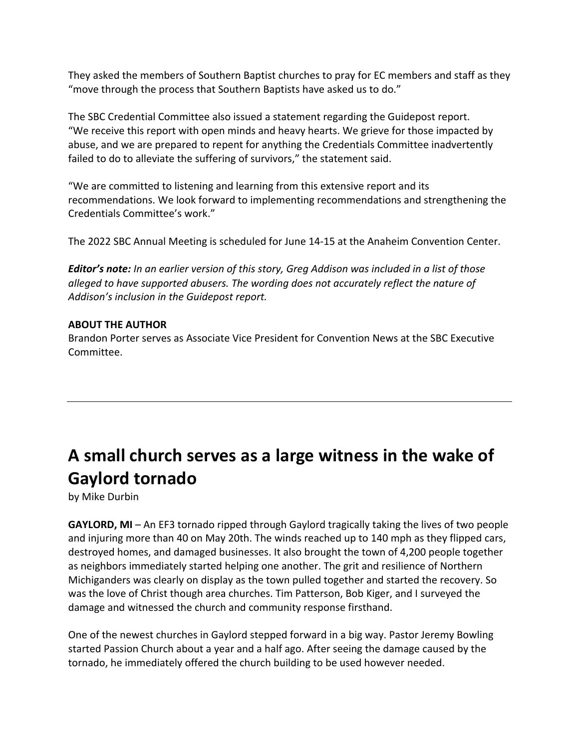They asked the members of Southern Baptist churches to pray for EC members and staff as they "move through the process that Southern Baptists have asked us to do."

The SBC Credential Committee also issued a statement regarding the Guidepost report. "We receive this report with open minds and heavy hearts. We grieve for those impacted by abuse, and we are prepared to repent for anything the Credentials Committee inadvertently failed to do to alleviate the suffering of survivors," the statement said.

"We are committed to listening and learning from this extensive report and its recommendations. We look forward to implementing recommendations and strengthening the Credentials Committee's work."

The 2022 SBC Annual Meeting is scheduled for June 14-15 at the Anaheim Convention Center.

*Editor's note: In an earlier version of this story, Greg Addison was included in a list of those alleged to have supported abusers. The wording does not accurately reflect the nature of Addison's inclusion in the Guidepost report.*

## **ABOUT THE AUTHOR**

Brandon Porter serves as Associate Vice President for Convention News at the SBC Executive Committee.

# **A small church serves as a large witness in the wake of Gaylord tornado**

by Mike Durbin

**GAYLORD, MI** – An EF3 tornado ripped through Gaylord tragically taking the lives of two people and injuring more than 40 on May 20th. The winds reached up to 140 mph as they flipped cars, destroyed homes, and damaged businesses. It also brought the town of 4,200 people together as neighbors immediately started helping one another. The grit and resilience of Northern Michiganders was clearly on display as the town pulled together and started the recovery. So was the love of Christ though area churches. Tim Patterson, Bob Kiger, and I surveyed the damage and witnessed the church and community response firsthand.

One of the newest churches in Gaylord stepped forward in a big way. Pastor Jeremy Bowling started Passion Church about a year and a half ago. After seeing the damage caused by the tornado, he immediately offered the church building to be used however needed.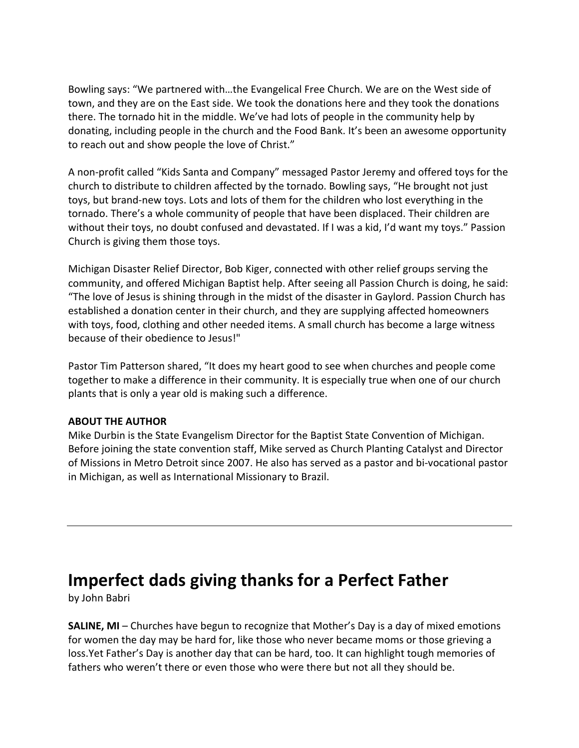Bowling says: "We partnered with…the Evangelical Free Church. We are on the West side of town, and they are on the East side. We took the donations here and they took the donations there. The tornado hit in the middle. We've had lots of people in the community help by donating, including people in the church and the Food Bank. It's been an awesome opportunity to reach out and show people the love of Christ."

A non-profit called "Kids Santa and Company" messaged Pastor Jeremy and offered toys for the church to distribute to children affected by the tornado. Bowling says, "He brought not just toys, but brand-new toys. Lots and lots of them for the children who lost everything in the tornado. There's a whole community of people that have been displaced. Their children are without their toys, no doubt confused and devastated. If I was a kid, I'd want my toys." Passion Church is giving them those toys.

Michigan Disaster Relief Director, Bob Kiger, connected with other relief groups serving the community, and offered Michigan Baptist help. After seeing all Passion Church is doing, he said: "The love of Jesus is shining through in the midst of the disaster in Gaylord. Passion Church has established a donation center in their church, and they are supplying affected homeowners with toys, food, clothing and other needed items. A small church has become a large witness because of their obedience to Jesus!"

Pastor Tim Patterson shared, "It does my heart good to see when churches and people come together to make a difference in their community. It is especially true when one of our church plants that is only a year old is making such a difference.

#### **ABOUT THE AUTHOR**

Mike Durbin is the State Evangelism Director for the Baptist State Convention of Michigan. Before joining the state convention staff, Mike served as Church Planting Catalyst and Director of Missions in Metro Detroit since 2007. He also has served as a pastor and bi-vocational pastor in Michigan, as well as International Missionary to Brazil.

## **Imperfect dads giving thanks for a Perfect Father**

by John Babri

**SALINE, MI** – Churches have begun to recognize that Mother's Day is a day of mixed emotions for women the day may be hard for, like those who never became moms or those grieving a loss.Yet Father's Day is another day that can be hard, too. It can highlight tough memories of fathers who weren't there or even those who were there but not all they should be.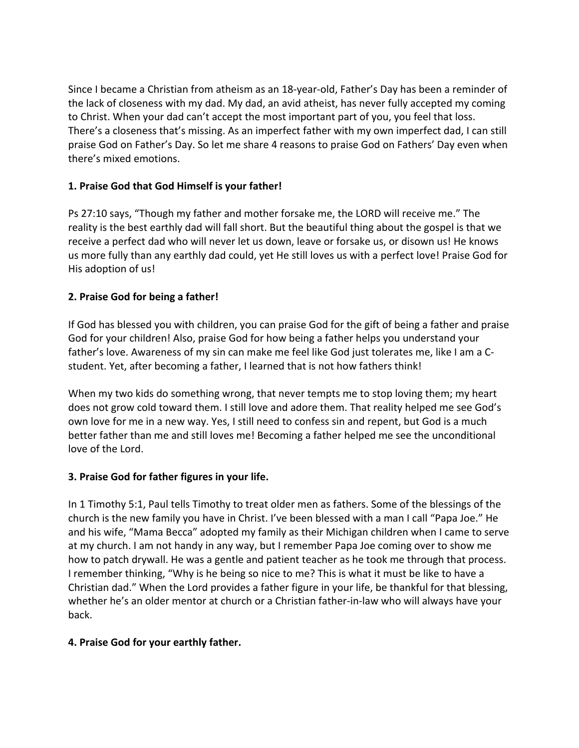Since I became a Christian from atheism as an 18-year-old, Father's Day has been a reminder of the lack of closeness with my dad. My dad, an avid atheist, has never fully accepted my coming to Christ. When your dad can't accept the most important part of you, you feel that loss. There's a closeness that's missing. As an imperfect father with my own imperfect dad, I can still praise God on Father's Day. So let me share 4 reasons to praise God on Fathers' Day even when there's mixed emotions.

## **1. Praise God that God Himself is your father!**

Ps 27:10 says, "Though my father and mother forsake me, the LORD will receive me." The reality is the best earthly dad will fall short. But the beautiful thing about the gospel is that we receive a perfect dad who will never let us down, leave or forsake us, or disown us! He knows us more fully than any earthly dad could, yet He still loves us with a perfect love! Praise God for His adoption of us!

## **2. Praise God for being a father!**

If God has blessed you with children, you can praise God for the gift of being a father and praise God for your children! Also, praise God for how being a father helps you understand your father's love. Awareness of my sin can make me feel like God just tolerates me, like I am a Cstudent. Yet, after becoming a father, I learned that is not how fathers think!

When my two kids do something wrong, that never tempts me to stop loving them; my heart does not grow cold toward them. I still love and adore them. That reality helped me see God's own love for me in a new way. Yes, I still need to confess sin and repent, but God is a much better father than me and still loves me! Becoming a father helped me see the unconditional love of the Lord.

## **3. Praise God for father figures in your life.**

In 1 Timothy 5:1, Paul tells Timothy to treat older men as fathers. Some of the blessings of the church is the new family you have in Christ. I've been blessed with a man I call "Papa Joe." He and his wife, "Mama Becca" adopted my family as their Michigan children when I came to serve at my church. I am not handy in any way, but I remember Papa Joe coming over to show me how to patch drywall. He was a gentle and patient teacher as he took me through that process. I remember thinking, "Why is he being so nice to me? This is what it must be like to have a Christian dad." When the Lord provides a father figure in your life, be thankful for that blessing, whether he's an older mentor at church or a Christian father-in-law who will always have your back.

## **4. Praise God for your earthly father.**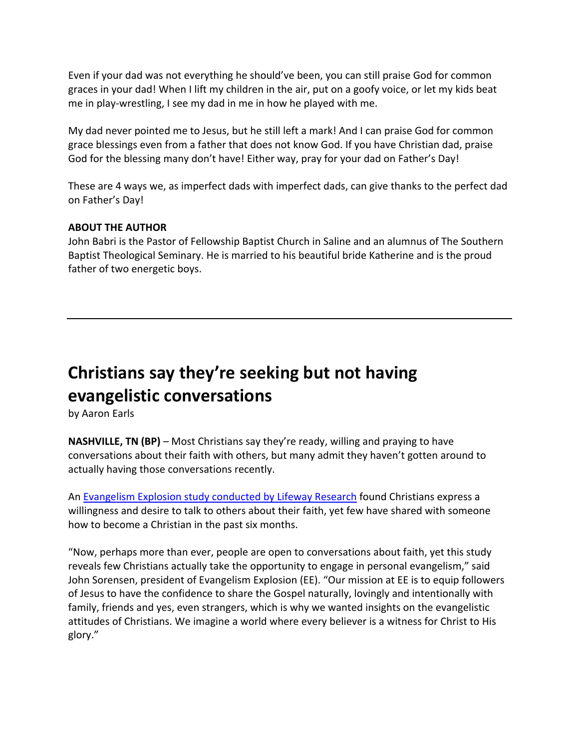Even if your dad was not everything he should've been, you can still praise God for common graces in your dad! When I lift my children in the air, put on a goofy voice, or let my kids beat me in play-wrestling, I see my dad in me in how he played with me.

My dad never pointed me to Jesus, but he still left a mark! And I can praise God for common grace blessings even from a father that does not know God. If you have Christian dad, praise God for the blessing many don't have! Either way, pray for your dad on Father's Day!

These are 4 ways we, as imperfect dads with imperfect dads, can give thanks to the perfect dad on Father's Day!

## **ABOUT THE AUTHOR**

John Babri is the Pastor of Fellowship Baptist Church in Saline and an alumnus of The Southern Baptist Theological Seminary. He is married to his beautiful bride Katherine and is the proud father of two energetic boys.

# **Christians say they're seeking but not having evangelistic conversations**

by Aaron Earls

**NASHVILLE, TN (BP)** – Most Christians say they're ready, willing and praying to have conversations about their faith with others, but many admit they haven't gotten around to actually having those conversations recently.

An Evangelism Explosion study conducted by Lifeway Research found Christians express a willingness and desire to talk to others about their faith, yet few have shared with someone how to become a Christian in the past six months.

"Now, perhaps more than ever, people are open to conversations about faith, yet this study reveals few Christians actually take the opportunity to engage in personal evangelism," said John Sorensen, president of Evangelism Explosion (EE). "Our mission at EE is to equip followers of Jesus to have the confidence to share the Gospel naturally, lovingly and intentionally with family, friends and yes, even strangers, which is why we wanted insights on the evangelistic attitudes of Christians. We imagine a world where every believer is a witness for Christ to His glory."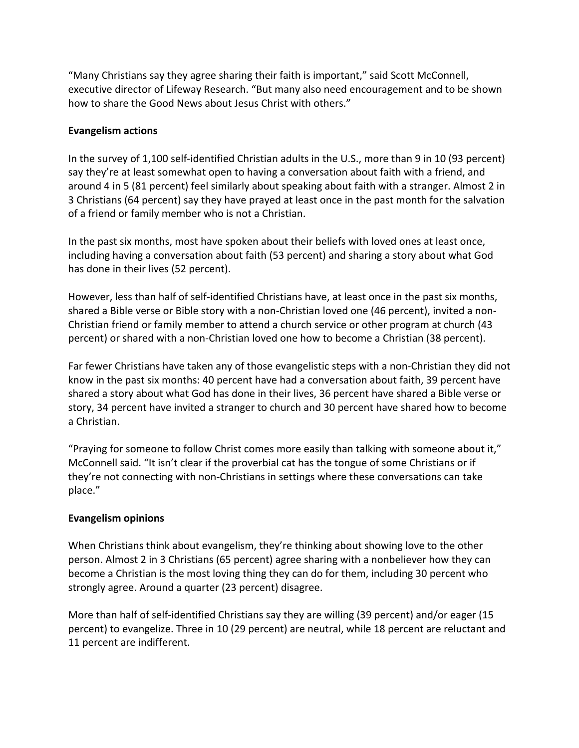"Many Christians say they agree sharing their faith is important," said Scott McConnell, executive director of Lifeway Research. "But many also need encouragement and to be shown how to share the Good News about Jesus Christ with others."

#### **Evangelism actions**

In the survey of 1,100 self-identified Christian adults in the U.S., more than 9 in 10 (93 percent) say they're at least somewhat open to having a conversation about faith with a friend, and around 4 in 5 (81 percent) feel similarly about speaking about faith with a stranger. Almost 2 in 3 Christians (64 percent) say they have prayed at least once in the past month for the salvation of a friend or family member who is not a Christian.

In the past six months, most have spoken about their beliefs with loved ones at least once, including having a conversation about faith (53 percent) and sharing a story about what God has done in their lives (52 percent).

However, less than half of self-identified Christians have, at least once in the past six months, shared a Bible verse or Bible story with a non-Christian loved one (46 percent), invited a non-Christian friend or family member to attend a church service or other program at church (43 percent) or shared with a non-Christian loved one how to become a Christian (38 percent).

Far fewer Christians have taken any of those evangelistic steps with a non-Christian they did not know in the past six months: 40 percent have had a conversation about faith, 39 percent have shared a story about what God has done in their lives, 36 percent have shared a Bible verse or story, 34 percent have invited a stranger to church and 30 percent have shared how to become a Christian.

"Praying for someone to follow Christ comes more easily than talking with someone about it," McConnell said. "It isn't clear if the proverbial cat has the tongue of some Christians or if they're not connecting with non-Christians in settings where these conversations can take place."

## **Evangelism opinions**

When Christians think about evangelism, they're thinking about showing love to the other person. Almost 2 in 3 Christians (65 percent) agree sharing with a nonbeliever how they can become a Christian is the most loving thing they can do for them, including 30 percent who strongly agree. Around a quarter (23 percent) disagree.

More than half of self-identified Christians say they are willing (39 percent) and/or eager (15 percent) to evangelize. Three in 10 (29 percent) are neutral, while 18 percent are reluctant and 11 percent are indifferent.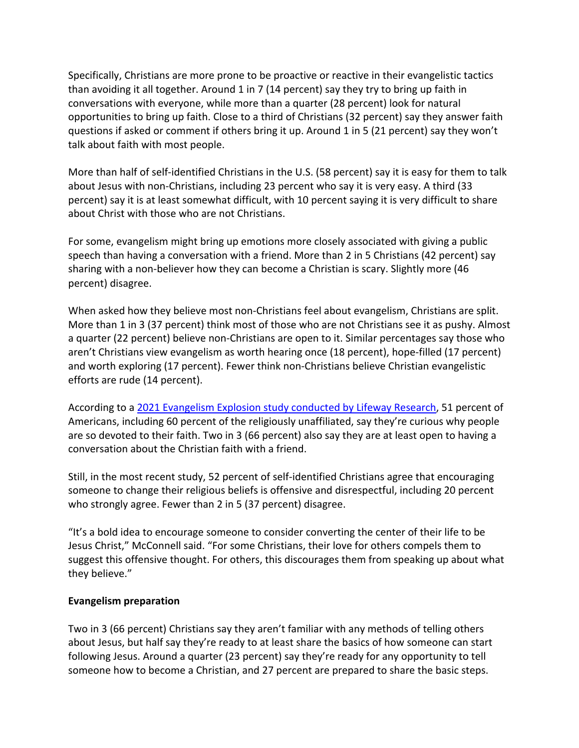Specifically, Christians are more prone to be proactive or reactive in their evangelistic tactics than avoiding it all together. Around 1 in 7 (14 percent) say they try to bring up faith in conversations with everyone, while more than a quarter (28 percent) look for natural opportunities to bring up faith. Close to a third of Christians (32 percent) say they answer faith questions if asked or comment if others bring it up. Around 1 in 5 (21 percent) say they won't talk about faith with most people.

More than half of self-identified Christians in the U.S. (58 percent) say it is easy for them to talk about Jesus with non-Christians, including 23 percent who say it is very easy. A third (33 percent) say it is at least somewhat difficult, with 10 percent saying it is very difficult to share about Christ with those who are not Christians.

For some, evangelism might bring up emotions more closely associated with giving a public speech than having a conversation with a friend. More than 2 in 5 Christians (42 percent) say sharing with a non-believer how they can become a Christian is scary. Slightly more (46 percent) disagree.

When asked how they believe most non-Christians feel about evangelism, Christians are split. More than 1 in 3 (37 percent) think most of those who are not Christians see it as pushy. Almost a quarter (22 percent) believe non-Christians are open to it. Similar percentages say those who aren't Christians view evangelism as worth hearing once (18 percent), hope-filled (17 percent) and worth exploring (17 percent). Fewer think non-Christians believe Christian evangelistic efforts are rude (14 percent).

According to a 2021 Evangelism Explosion study conducted by Lifeway Research, 51 percent of Americans, including 60 percent of the religiously unaffiliated, say they're curious why people are so devoted to their faith. Two in 3 (66 percent) also say they are at least open to having a conversation about the Christian faith with a friend.

Still, in the most recent study, 52 percent of self-identified Christians agree that encouraging someone to change their religious beliefs is offensive and disrespectful, including 20 percent who strongly agree. Fewer than 2 in 5 (37 percent) disagree.

"It's a bold idea to encourage someone to consider converting the center of their life to be Jesus Christ," McConnell said. "For some Christians, their love for others compels them to suggest this offensive thought. For others, this discourages them from speaking up about what they believe."

#### **Evangelism preparation**

Two in 3 (66 percent) Christians say they aren't familiar with any methods of telling others about Jesus, but half say they're ready to at least share the basics of how someone can start following Jesus. Around a quarter (23 percent) say they're ready for any opportunity to tell someone how to become a Christian, and 27 percent are prepared to share the basic steps.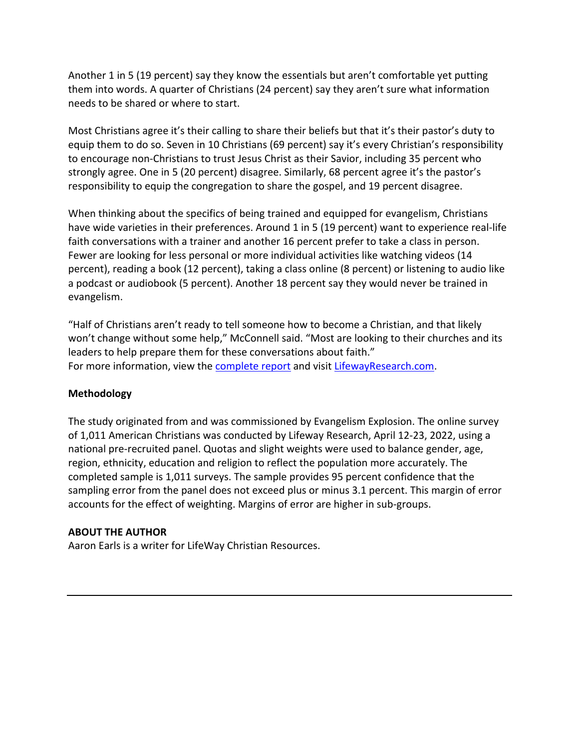Another 1 in 5 (19 percent) say they know the essentials but aren't comfortable yet putting them into words. A quarter of Christians (24 percent) say they aren't sure what information needs to be shared or where to start.

Most Christians agree it's their calling to share their beliefs but that it's their pastor's duty to equip them to do so. Seven in 10 Christians (69 percent) say it's every Christian's responsibility to encourage non-Christians to trust Jesus Christ as their Savior, including 35 percent who strongly agree. One in 5 (20 percent) disagree. Similarly, 68 percent agree it's the pastor's responsibility to equip the congregation to share the gospel, and 19 percent disagree.

When thinking about the specifics of being trained and equipped for evangelism, Christians have wide varieties in their preferences. Around 1 in 5 (19 percent) want to experience real-life faith conversations with a trainer and another 16 percent prefer to take a class in person. Fewer are looking for less personal or more individual activities like watching videos (14 percent), reading a book (12 percent), taking a class online (8 percent) or listening to audio like a podcast or audiobook (5 percent). Another 18 percent say they would never be trained in evangelism.

"Half of Christians aren't ready to tell someone how to become a Christian, and that likely won't change without some help," McConnell said. "Most are looking to their churches and its leaders to help prepare them for these conversations about faith." For more information, view the complete report and visit LifewayResearch.com.

## **Methodology**

The study originated from and was commissioned by Evangelism Explosion. The online survey of 1,011 American Christians was conducted by Lifeway Research, April 12-23, 2022, using a national pre-recruited panel. Quotas and slight weights were used to balance gender, age, region, ethnicity, education and religion to reflect the population more accurately. The completed sample is 1,011 surveys. The sample provides 95 percent confidence that the sampling error from the panel does not exceed plus or minus 3.1 percent. This margin of error accounts for the effect of weighting. Margins of error are higher in sub-groups.

#### **ABOUT THE AUTHOR**

Aaron Earls is a writer for LifeWay Christian Resources.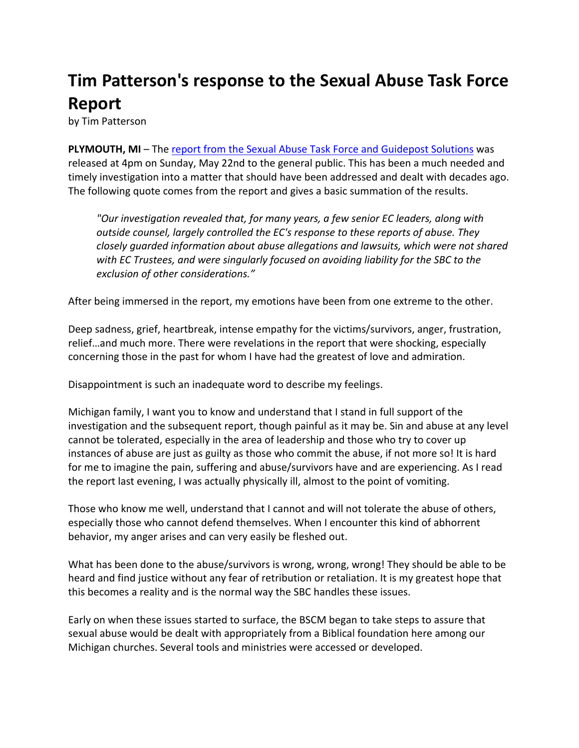# **Tim Patterson's response to the Sexual Abuse Task Force Report**

by Tim Patterson

**PLYMOUTH, MI** – The report from the Sexual Abuse Task Force and Guidepost Solutions was released at 4pm on Sunday, May 22nd to the general public. This has been a much needed and timely investigation into a matter that should have been addressed and dealt with decades ago. The following quote comes from the report and gives a basic summation of the results.

*"Our investigation revealed that, for many years, a few senior EC leaders, along with outside counsel, largely controlled the EC's response to these reports of abuse. They closely guarded information about abuse allegations and lawsuits, which were not shared with EC Trustees, and were singularly focused on avoiding liability for the SBC to the exclusion of other considerations."*

After being immersed in the report, my emotions have been from one extreme to the other.

Deep sadness, grief, heartbreak, intense empathy for the victims/survivors, anger, frustration, relief…and much more. There were revelations in the report that were shocking, especially concerning those in the past for whom I have had the greatest of love and admiration.

Disappointment is such an inadequate word to describe my feelings.

Michigan family, I want you to know and understand that I stand in full support of the investigation and the subsequent report, though painful as it may be. Sin and abuse at any level cannot be tolerated, especially in the area of leadership and those who try to cover up instances of abuse are just as guilty as those who commit the abuse, if not more so! It is hard for me to imagine the pain, suffering and abuse/survivors have and are experiencing. As I read the report last evening, I was actually physically ill, almost to the point of vomiting.

Those who know me well, understand that I cannot and will not tolerate the abuse of others, especially those who cannot defend themselves. When I encounter this kind of abhorrent behavior, my anger arises and can very easily be fleshed out.

What has been done to the abuse/survivors is wrong, wrong, wrong! They should be able to be heard and find justice without any fear of retribution or retaliation. It is my greatest hope that this becomes a reality and is the normal way the SBC handles these issues.

Early on when these issues started to surface, the BSCM began to take steps to assure that sexual abuse would be dealt with appropriately from a Biblical foundation here among our Michigan churches. Several tools and ministries were accessed or developed.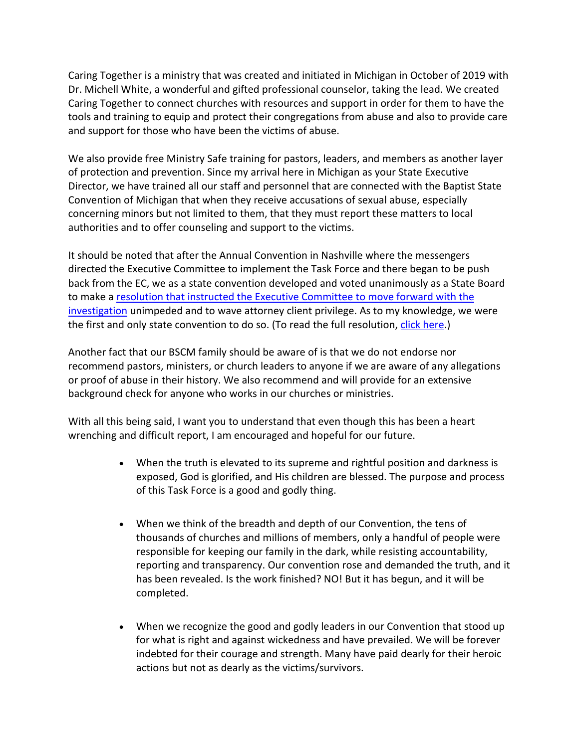Caring Together is a ministry that was created and initiated in Michigan in October of 2019 with Dr. Michell White, a wonderful and gifted professional counselor, taking the lead. We created Caring Together to connect churches with resources and support in order for them to have the tools and training to equip and protect their congregations from abuse and also to provide care and support for those who have been the victims of abuse.

We also provide free Ministry Safe training for pastors, leaders, and members as another layer of protection and prevention. Since my arrival here in Michigan as your State Executive Director, we have trained all our staff and personnel that are connected with the Baptist State Convention of Michigan that when they receive accusations of sexual abuse, especially concerning minors but not limited to them, that they must report these matters to local authorities and to offer counseling and support to the victims.

It should be noted that after the Annual Convention in Nashville where the messengers directed the Executive Committee to implement the Task Force and there began to be push back from the EC, we as a state convention developed and voted unanimously as a State Board to make a resolution that instructed the Executive Committee to move forward with the investigation unimpeded and to wave attorney client privilege. As to my knowledge, we were the first and only state convention to do so. (To read the full resolution, click here.)

Another fact that our BSCM family should be aware of is that we do not endorse nor recommend pastors, ministers, or church leaders to anyone if we are aware of any allegations or proof of abuse in their history. We also recommend and will provide for an extensive background check for anyone who works in our churches or ministries.

With all this being said, I want you to understand that even though this has been a heart wrenching and difficult report, I am encouraged and hopeful for our future.

- When the truth is elevated to its supreme and rightful position and darkness is exposed, God is glorified, and His children are blessed. The purpose and process of this Task Force is a good and godly thing.
- When we think of the breadth and depth of our Convention, the tens of thousands of churches and millions of members, only a handful of people were responsible for keeping our family in the dark, while resisting accountability, reporting and transparency. Our convention rose and demanded the truth, and it has been revealed. Is the work finished? NO! But it has begun, and it will be completed.
- When we recognize the good and godly leaders in our Convention that stood up for what is right and against wickedness and have prevailed. We will be forever indebted for their courage and strength. Many have paid dearly for their heroic actions but not as dearly as the victims/survivors.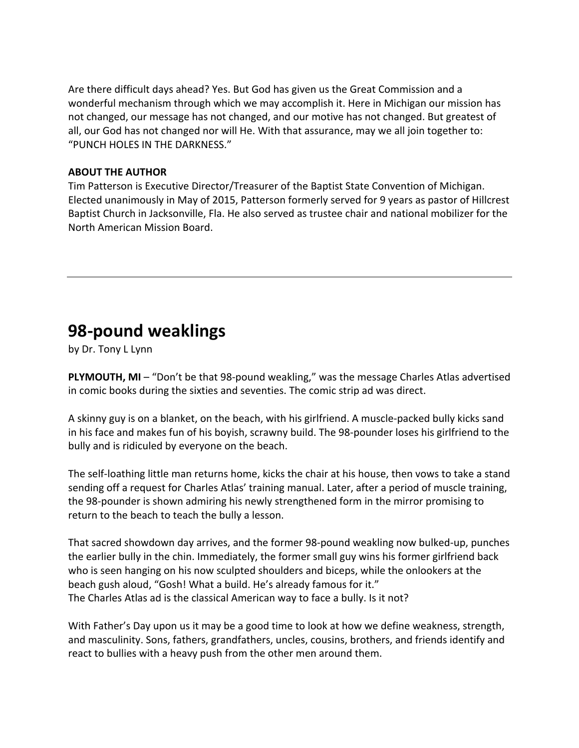Are there difficult days ahead? Yes. But God has given us the Great Commission and a wonderful mechanism through which we may accomplish it. Here in Michigan our mission has not changed, our message has not changed, and our motive has not changed. But greatest of all, our God has not changed nor will He. With that assurance, may we all join together to: "PUNCH HOLES IN THE DARKNESS."

## **ABOUT THE AUTHOR**

Tim Patterson is Executive Director/Treasurer of the Baptist State Convention of Michigan. Elected unanimously in May of 2015, Patterson formerly served for 9 years as pastor of Hillcrest Baptist Church in Jacksonville, Fla. He also served as trustee chair and national mobilizer for the North American Mission Board.

## **98-pound weaklings**

by Dr. Tony L Lynn

**PLYMOUTH, MI** – "Don't be that 98-pound weakling," was the message Charles Atlas advertised in comic books during the sixties and seventies. The comic strip ad was direct.

A skinny guy is on a blanket, on the beach, with his girlfriend. A muscle-packed bully kicks sand in his face and makes fun of his boyish, scrawny build. The 98-pounder loses his girlfriend to the bully and is ridiculed by everyone on the beach.

The self-loathing little man returns home, kicks the chair at his house, then vows to take a stand sending off a request for Charles Atlas' training manual. Later, after a period of muscle training, the 98-pounder is shown admiring his newly strengthened form in the mirror promising to return to the beach to teach the bully a lesson.

That sacred showdown day arrives, and the former 98-pound weakling now bulked-up, punches the earlier bully in the chin. Immediately, the former small guy wins his former girlfriend back who is seen hanging on his now sculpted shoulders and biceps, while the onlookers at the beach gush aloud, "Gosh! What a build. He's already famous for it." The Charles Atlas ad is the classical American way to face a bully. Is it not?

With Father's Day upon us it may be a good time to look at how we define weakness, strength, and masculinity. Sons, fathers, grandfathers, uncles, cousins, brothers, and friends identify and react to bullies with a heavy push from the other men around them.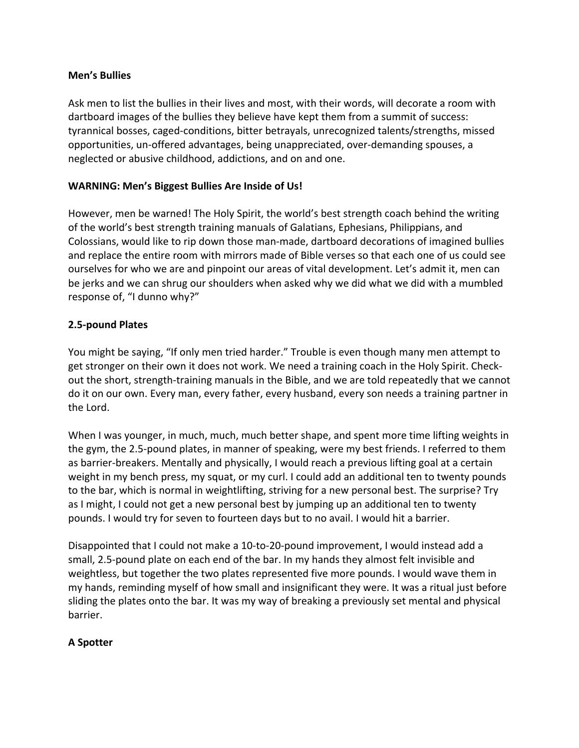#### **Men's Bullies**

Ask men to list the bullies in their lives and most, with their words, will decorate a room with dartboard images of the bullies they believe have kept them from a summit of success: tyrannical bosses, caged-conditions, bitter betrayals, unrecognized talents/strengths, missed opportunities, un-offered advantages, being unappreciated, over-demanding spouses, a neglected or abusive childhood, addictions, and on and one.

#### **WARNING: Men's Biggest Bullies Are Inside of Us!**

However, men be warned! The Holy Spirit, the world's best strength coach behind the writing of the world's best strength training manuals of Galatians, Ephesians, Philippians, and Colossians, would like to rip down those man-made, dartboard decorations of imagined bullies and replace the entire room with mirrors made of Bible verses so that each one of us could see ourselves for who we are and pinpoint our areas of vital development. Let's admit it, men can be jerks and we can shrug our shoulders when asked why we did what we did with a mumbled response of, "I dunno why?"

## **2.5-pound Plates**

You might be saying, "If only men tried harder." Trouble is even though many men attempt to get stronger on their own it does not work. We need a training coach in the Holy Spirit. Checkout the short, strength-training manuals in the Bible, and we are told repeatedly that we cannot do it on our own. Every man, every father, every husband, every son needs a training partner in the Lord.

When I was younger, in much, much, much better shape, and spent more time lifting weights in the gym, the 2.5-pound plates, in manner of speaking, were my best friends. I referred to them as barrier-breakers. Mentally and physically, I would reach a previous lifting goal at a certain weight in my bench press, my squat, or my curl. I could add an additional ten to twenty pounds to the bar, which is normal in weightlifting, striving for a new personal best. The surprise? Try as I might, I could not get a new personal best by jumping up an additional ten to twenty pounds. I would try for seven to fourteen days but to no avail. I would hit a barrier.

Disappointed that I could not make a 10-to-20-pound improvement, I would instead add a small, 2.5-pound plate on each end of the bar. In my hands they almost felt invisible and weightless, but together the two plates represented five more pounds. I would wave them in my hands, reminding myself of how small and insignificant they were. It was a ritual just before sliding the plates onto the bar. It was my way of breaking a previously set mental and physical barrier.

## **A Spotter**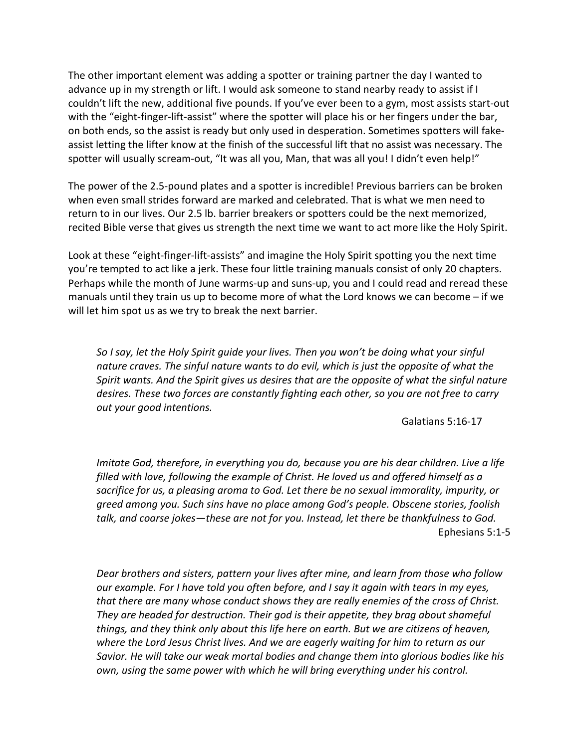The other important element was adding a spotter or training partner the day I wanted to advance up in my strength or lift. I would ask someone to stand nearby ready to assist if I couldn't lift the new, additional five pounds. If you've ever been to a gym, most assists start-out with the "eight-finger-lift-assist" where the spotter will place his or her fingers under the bar, on both ends, so the assist is ready but only used in desperation. Sometimes spotters will fakeassist letting the lifter know at the finish of the successful lift that no assist was necessary. The spotter will usually scream-out, "It was all you, Man, that was all you! I didn't even help!"

The power of the 2.5-pound plates and a spotter is incredible! Previous barriers can be broken when even small strides forward are marked and celebrated. That is what we men need to return to in our lives. Our 2.5 lb. barrier breakers or spotters could be the next memorized, recited Bible verse that gives us strength the next time we want to act more like the Holy Spirit.

Look at these "eight-finger-lift-assists" and imagine the Holy Spirit spotting you the next time you're tempted to act like a jerk. These four little training manuals consist of only 20 chapters. Perhaps while the month of June warms-up and suns-up, you and I could read and reread these manuals until they train us up to become more of what the Lord knows we can become – if we will let him spot us as we try to break the next barrier.

*So I say, let the Holy Spirit guide your lives. Then you won't be doing what your sinful nature craves. The sinful nature wants to do evil, which is just the opposite of what the Spirit wants. And the Spirit gives us desires that are the opposite of what the sinful nature desires. These two forces are constantly fighting each other, so you are not free to carry out your good intentions.*

Galatians 5:16-17

*Imitate God, therefore, in everything you do, because you are his dear children. Live a life filled with love, following the example of Christ. He loved us and offered himself as a sacrifice for us, a pleasing aroma to God. Let there be no sexual immorality, impurity, or greed among you. Such sins have no place among God's people. Obscene stories, foolish talk, and coarse jokes—these are not for you. Instead, let there be thankfulness to God.* Ephesians 5:1-5

*Dear brothers and sisters, pattern your lives after mine, and learn from those who follow our example. For I have told you often before, and I say it again with tears in my eyes, that there are many whose conduct shows they are really enemies of the cross of Christ. They are headed for destruction. Their god is their appetite, they brag about shameful things, and they think only about this life here on earth. But we are citizens of heaven, where the Lord Jesus Christ lives. And we are eagerly waiting for him to return as our Savior. He will take our weak mortal bodies and change them into glorious bodies like his own, using the same power with which he will bring everything under his control.*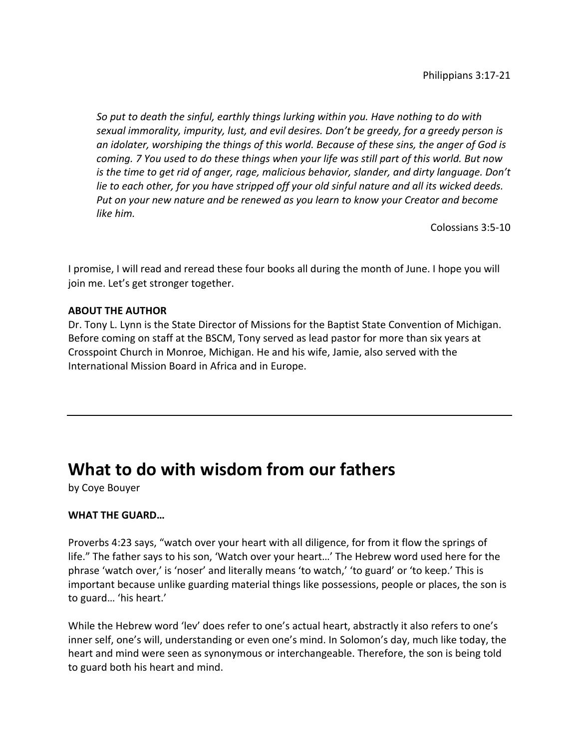*So put to death the sinful, earthly things lurking within you. Have nothing to do with sexual immorality, impurity, lust, and evil desires. Don't be greedy, for a greedy person is an idolater, worshiping the things of this world. Because of these sins, the anger of God is coming. 7 You used to do these things when your life was still part of this world. But now is the time to get rid of anger, rage, malicious behavior, slander, and dirty language. Don't lie to each other, for you have stripped off your old sinful nature and all its wicked deeds. Put on your new nature and be renewed as you learn to know your Creator and become like him.*

Colossians 3:5-10

I promise, I will read and reread these four books all during the month of June. I hope you will join me. Let's get stronger together.

#### **ABOUT THE AUTHOR**

Dr. Tony L. Lynn is the State Director of Missions for the Baptist State Convention of Michigan. Before coming on staff at the BSCM, Tony served as lead pastor for more than six years at Crosspoint Church in Monroe, Michigan. He and his wife, Jamie, also served with the International Mission Board in Africa and in Europe.

## **What to do with wisdom from our fathers**

by Coye Bouyer

#### **WHAT THE GUARD…**

Proverbs 4:23 says, "watch over your heart with all diligence, for from it flow the springs of life." The father says to his son, 'Watch over your heart…' The Hebrew word used here for the phrase 'watch over,' is 'noser' and literally means 'to watch,' 'to guard' or 'to keep.' This is important because unlike guarding material things like possessions, people or places, the son is to guard… 'his heart.'

While the Hebrew word 'lev' does refer to one's actual heart, abstractly it also refers to one's inner self, one's will, understanding or even one's mind. In Solomon's day, much like today, the heart and mind were seen as synonymous or interchangeable. Therefore, the son is being told to guard both his heart and mind.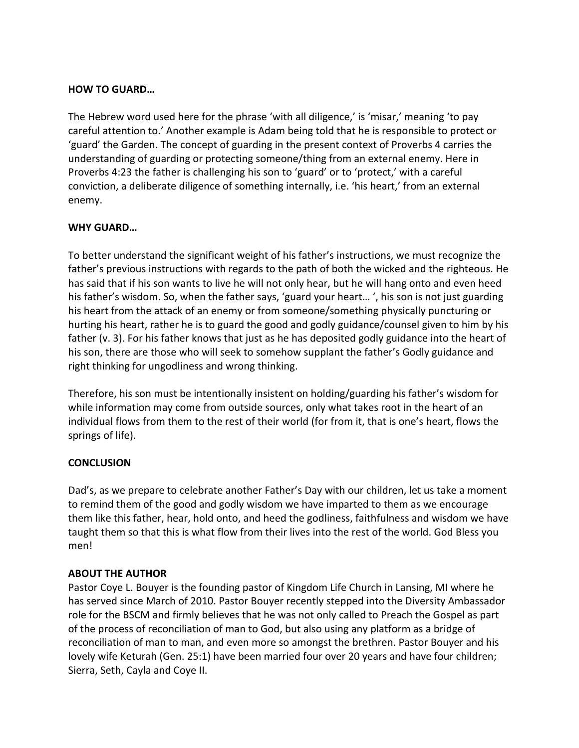## **HOW TO GUARD…**

The Hebrew word used here for the phrase 'with all diligence,' is 'misar,' meaning 'to pay careful attention to.' Another example is Adam being told that he is responsible to protect or 'guard' the Garden. The concept of guarding in the present context of Proverbs 4 carries the understanding of guarding or protecting someone/thing from an external enemy. Here in Proverbs 4:23 the father is challenging his son to 'guard' or to 'protect,' with a careful conviction, a deliberate diligence of something internally, i.e. 'his heart,' from an external enemy.

## **WHY GUARD…**

To better understand the significant weight of his father's instructions, we must recognize the father's previous instructions with regards to the path of both the wicked and the righteous. He has said that if his son wants to live he will not only hear, but he will hang onto and even heed his father's wisdom. So, when the father says, 'guard your heart… ', his son is not just guarding his heart from the attack of an enemy or from someone/something physically puncturing or hurting his heart, rather he is to guard the good and godly guidance/counsel given to him by his father (v. 3). For his father knows that just as he has deposited godly guidance into the heart of his son, there are those who will seek to somehow supplant the father's Godly guidance and right thinking for ungodliness and wrong thinking.

Therefore, his son must be intentionally insistent on holding/guarding his father's wisdom for while information may come from outside sources, only what takes root in the heart of an individual flows from them to the rest of their world (for from it, that is one's heart, flows the springs of life).

## **CONCLUSION**

Dad's, as we prepare to celebrate another Father's Day with our children, let us take a moment to remind them of the good and godly wisdom we have imparted to them as we encourage them like this father, hear, hold onto, and heed the godliness, faithfulness and wisdom we have taught them so that this is what flow from their lives into the rest of the world. God Bless you men!

## **ABOUT THE AUTHOR**

Pastor Coye L. Bouyer is the founding pastor of Kingdom Life Church in Lansing, MI where he has served since March of 2010. Pastor Bouyer recently stepped into the Diversity Ambassador role for the BSCM and firmly believes that he was not only called to Preach the Gospel as part of the process of reconciliation of man to God, but also using any platform as a bridge of reconciliation of man to man, and even more so amongst the brethren. Pastor Bouyer and his lovely wife Keturah (Gen. 25:1) have been married four over 20 years and have four children; Sierra, Seth, Cayla and Coye II.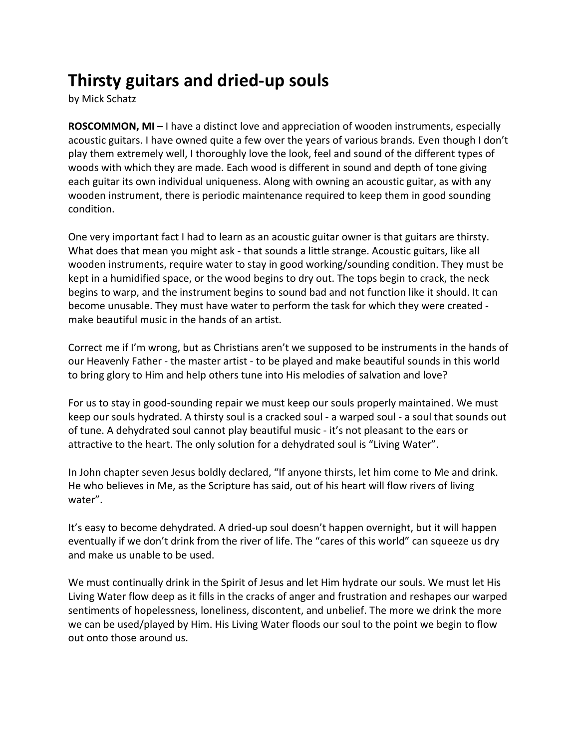## **Thirsty guitars and dried-up souls**

by Mick Schatz

**ROSCOMMON, MI** – I have a distinct love and appreciation of wooden instruments, especially acoustic guitars. I have owned quite a few over the years of various brands. Even though I don't play them extremely well, I thoroughly love the look, feel and sound of the different types of woods with which they are made. Each wood is different in sound and depth of tone giving each guitar its own individual uniqueness. Along with owning an acoustic guitar, as with any wooden instrument, there is periodic maintenance required to keep them in good sounding condition.

One very important fact I had to learn as an acoustic guitar owner is that guitars are thirsty. What does that mean you might ask - that sounds a little strange. Acoustic guitars, like all wooden instruments, require water to stay in good working/sounding condition. They must be kept in a humidified space, or the wood begins to dry out. The tops begin to crack, the neck begins to warp, and the instrument begins to sound bad and not function like it should. It can become unusable. They must have water to perform the task for which they were created make beautiful music in the hands of an artist.

Correct me if I'm wrong, but as Christians aren't we supposed to be instruments in the hands of our Heavenly Father - the master artist - to be played and make beautiful sounds in this world to bring glory to Him and help others tune into His melodies of salvation and love?

For us to stay in good-sounding repair we must keep our souls properly maintained. We must keep our souls hydrated. A thirsty soul is a cracked soul - a warped soul - a soul that sounds out of tune. A dehydrated soul cannot play beautiful music - it's not pleasant to the ears or attractive to the heart. The only solution for a dehydrated soul is "Living Water".

In John chapter seven Jesus boldly declared, "If anyone thirsts, let him come to Me and drink. He who believes in Me, as the Scripture has said, out of his heart will flow rivers of living water".

It's easy to become dehydrated. A dried-up soul doesn't happen overnight, but it will happen eventually if we don't drink from the river of life. The "cares of this world" can squeeze us dry and make us unable to be used.

We must continually drink in the Spirit of Jesus and let Him hydrate our souls. We must let His Living Water flow deep as it fills in the cracks of anger and frustration and reshapes our warped sentiments of hopelessness, loneliness, discontent, and unbelief. The more we drink the more we can be used/played by Him. His Living Water floods our soul to the point we begin to flow out onto those around us.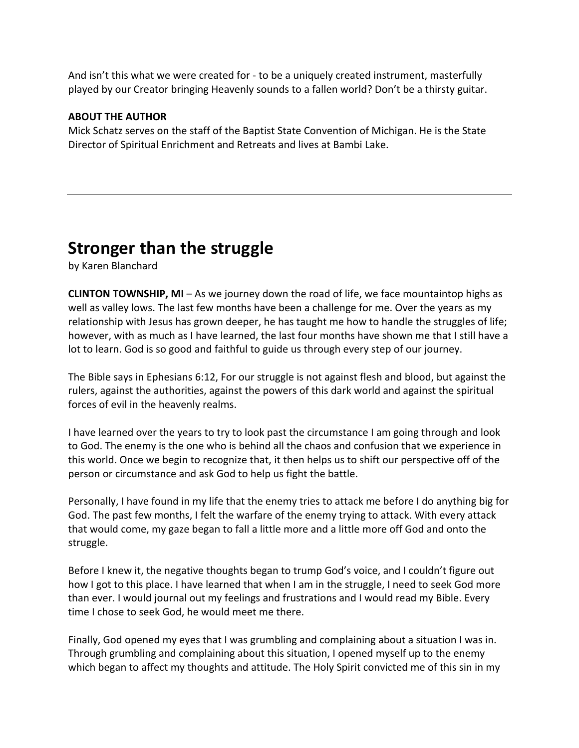And isn't this what we were created for - to be a uniquely created instrument, masterfully played by our Creator bringing Heavenly sounds to a fallen world? Don't be a thirsty guitar.

#### **ABOUT THE AUTHOR**

Mick Schatz serves on the staff of the Baptist State Convention of Michigan. He is the State Director of Spiritual Enrichment and Retreats and lives at Bambi Lake.

## **Stronger than the struggle**

by Karen Blanchard

**CLINTON TOWNSHIP, MI** – As we journey down the road of life, we face mountaintop highs as well as valley lows. The last few months have been a challenge for me. Over the years as my relationship with Jesus has grown deeper, he has taught me how to handle the struggles of life; however, with as much as I have learned, the last four months have shown me that I still have a lot to learn. God is so good and faithful to guide us through every step of our journey.

The Bible says in Ephesians 6:12, For our struggle is not against flesh and blood, but against the rulers, against the authorities, against the powers of this dark world and against the spiritual forces of evil in the heavenly realms.

I have learned over the years to try to look past the circumstance I am going through and look to God. The enemy is the one who is behind all the chaos and confusion that we experience in this world. Once we begin to recognize that, it then helps us to shift our perspective off of the person or circumstance and ask God to help us fight the battle.

Personally, I have found in my life that the enemy tries to attack me before I do anything big for God. The past few months, I felt the warfare of the enemy trying to attack. With every attack that would come, my gaze began to fall a little more and a little more off God and onto the struggle.

Before I knew it, the negative thoughts began to trump God's voice, and I couldn't figure out how I got to this place. I have learned that when I am in the struggle, I need to seek God more than ever. I would journal out my feelings and frustrations and I would read my Bible. Every time I chose to seek God, he would meet me there.

Finally, God opened my eyes that I was grumbling and complaining about a situation I was in. Through grumbling and complaining about this situation, I opened myself up to the enemy which began to affect my thoughts and attitude. The Holy Spirit convicted me of this sin in my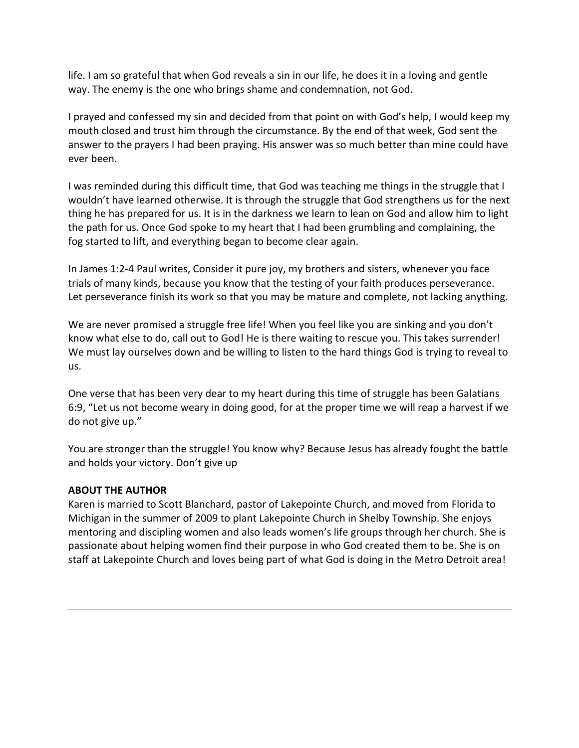life. I am so grateful that when God reveals a sin in our life, he does it in a loving and gentle way. The enemy is the one who brings shame and condemnation, not God.

I prayed and confessed my sin and decided from that point on with God's help, I would keep my mouth closed and trust him through the circumstance. By the end of that week, God sent the answer to the prayers I had been praying. His answer was so much better than mine could have ever been.

I was reminded during this difficult time, that God was teaching me things in the struggle that I wouldn't have learned otherwise. It is through the struggle that God strengthens us for the next thing he has prepared for us. It is in the darkness we learn to lean on God and allow him to light the path for us. Once God spoke to my heart that I had been grumbling and complaining, the fog started to lift, and everything began to become clear again.

In James 1:2-4 Paul writes, Consider it pure joy, my brothers and sisters, whenever you face trials of many kinds, because you know that the testing of your faith produces perseverance. Let perseverance finish its work so that you may be mature and complete, not lacking anything.

We are never promised a struggle free life! When you feel like you are sinking and you don't know what else to do, call out to God! He is there waiting to rescue you. This takes surrender! We must lay ourselves down and be willing to listen to the hard things God is trying to reveal to us.

One verse that has been very dear to my heart during this time of struggle has been Galatians 6:9, "Let us not become weary in doing good, for at the proper time we will reap a harvest if we do not give up."

You are stronger than the struggle! You know why? Because Jesus has already fought the battle and holds your victory. Don't give up

#### **ABOUT THE AUTHOR**

Karen is married to Scott Blanchard, pastor of Lakepointe Church, and moved from Florida to Michigan in the summer of 2009 to plant Lakepointe Church in Shelby Township. She enjoys mentoring and discipling women and also leads women's life groups through her church. She is passionate about helping women find their purpose in who God created them to be. She is on staff at Lakepointe Church and loves being part of what God is doing in the Metro Detroit area!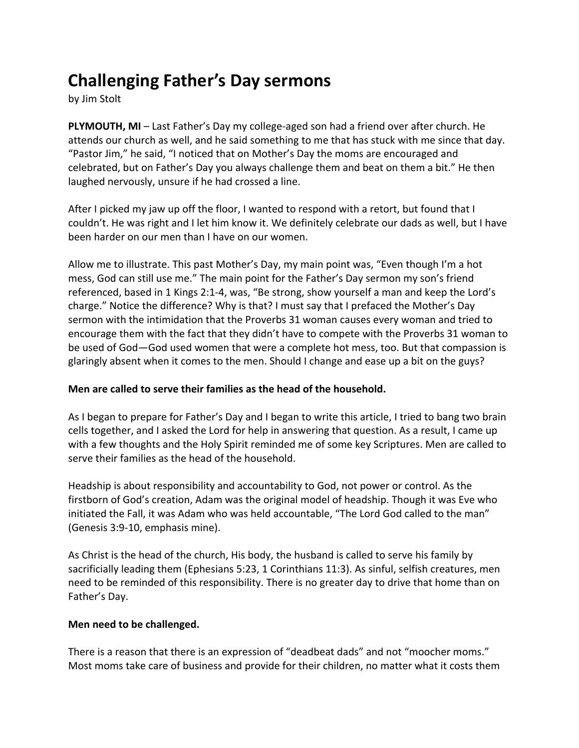## **Challenging Father's Day sermons**

by Jim Stolt

**PLYMOUTH, MI** – Last Father's Day my college-aged son had a friend over after church. He attends our church as well, and he said something to me that has stuck with me since that day. "Pastor Jim," he said, "I noticed that on Mother's Day the moms are encouraged and celebrated, but on Father's Day you always challenge them and beat on them a bit." He then laughed nervously, unsure if he had crossed a line.

After I picked my jaw up off the floor, I wanted to respond with a retort, but found that I couldn't. He was right and I let him know it. We definitely celebrate our dads as well, but I have been harder on our men than I have on our women.

Allow me to illustrate. This past Mother's Day, my main point was, "Even though I'm a hot mess, God can still use me." The main point for the Father's Day sermon my son's friend referenced, based in 1 Kings 2:1-4, was, "Be strong, show yourself a man and keep the Lord's charge." Notice the difference? Why is that? I must say that I prefaced the Mother's Day sermon with the intimidation that the Proverbs 31 woman causes every woman and tried to encourage them with the fact that they didn't have to compete with the Proverbs 31 woman to be used of God—God used women that were a complete hot mess, too. But that compassion is glaringly absent when it comes to the men. Should I change and ease up a bit on the guys?

#### **Men are called to serve their families as the head of the household.**

As I began to prepare for Father's Day and I began to write this article, I tried to bang two brain cells together, and I asked the Lord for help in answering that question. As a result, I came up with a few thoughts and the Holy Spirit reminded me of some key Scriptures. Men are called to serve their families as the head of the household.

Headship is about responsibility and accountability to God, not power or control. As the firstborn of God's creation, Adam was the original model of headship. Though it was Eve who initiated the Fall, it was Adam who was held accountable, "The Lord God called to the man" (Genesis 3:9-10, emphasis mine).

As Christ is the head of the church, His body, the husband is called to serve his family by sacrificially leading them (Ephesians 5:23, 1 Corinthians 11:3). As sinful, selfish creatures, men need to be reminded of this responsibility. There is no greater day to drive that home than on Father's Day.

## **Men need to be challenged.**

There is a reason that there is an expression of "deadbeat dads" and not "moocher moms." Most moms take care of business and provide for their children, no matter what it costs them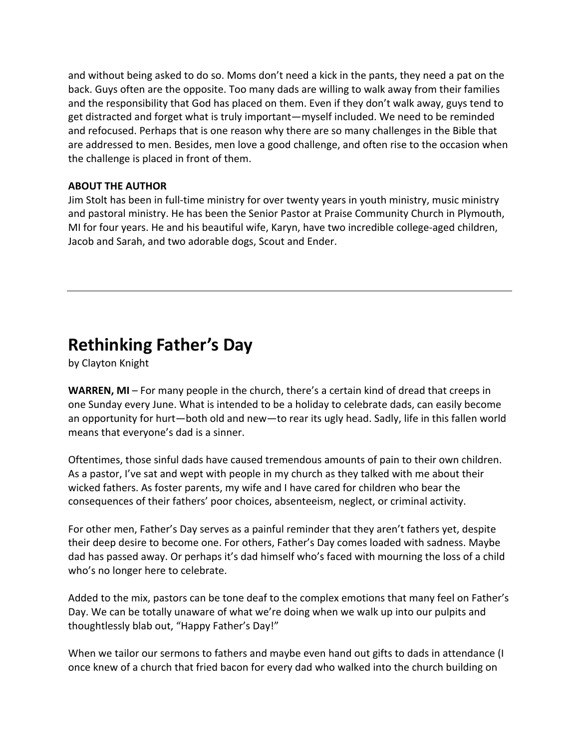and without being asked to do so. Moms don't need a kick in the pants, they need a pat on the back. Guys often are the opposite. Too many dads are willing to walk away from their families and the responsibility that God has placed on them. Even if they don't walk away, guys tend to get distracted and forget what is truly important—myself included. We need to be reminded and refocused. Perhaps that is one reason why there are so many challenges in the Bible that are addressed to men. Besides, men love a good challenge, and often rise to the occasion when the challenge is placed in front of them.

#### **ABOUT THE AUTHOR**

Jim Stolt has been in full-time ministry for over twenty years in youth ministry, music ministry and pastoral ministry. He has been the Senior Pastor at Praise Community Church in Plymouth, MI for four years. He and his beautiful wife, Karyn, have two incredible college-aged children, Jacob and Sarah, and two adorable dogs, Scout and Ender.

## **Rethinking Father's Day**

by Clayton Knight

**WARREN, MI** – For many people in the church, there's a certain kind of dread that creeps in one Sunday every June. What is intended to be a holiday to celebrate dads, can easily become an opportunity for hurt—both old and new—to rear its ugly head. Sadly, life in this fallen world means that everyone's dad is a sinner.

Oftentimes, those sinful dads have caused tremendous amounts of pain to their own children. As a pastor, I've sat and wept with people in my church as they talked with me about their wicked fathers. As foster parents, my wife and I have cared for children who bear the consequences of their fathers' poor choices, absenteeism, neglect, or criminal activity.

For other men, Father's Day serves as a painful reminder that they aren't fathers yet, despite their deep desire to become one. For others, Father's Day comes loaded with sadness. Maybe dad has passed away. Or perhaps it's dad himself who's faced with mourning the loss of a child who's no longer here to celebrate.

Added to the mix, pastors can be tone deaf to the complex emotions that many feel on Father's Day. We can be totally unaware of what we're doing when we walk up into our pulpits and thoughtlessly blab out, "Happy Father's Day!"

When we tailor our sermons to fathers and maybe even hand out gifts to dads in attendance (I once knew of a church that fried bacon for every dad who walked into the church building on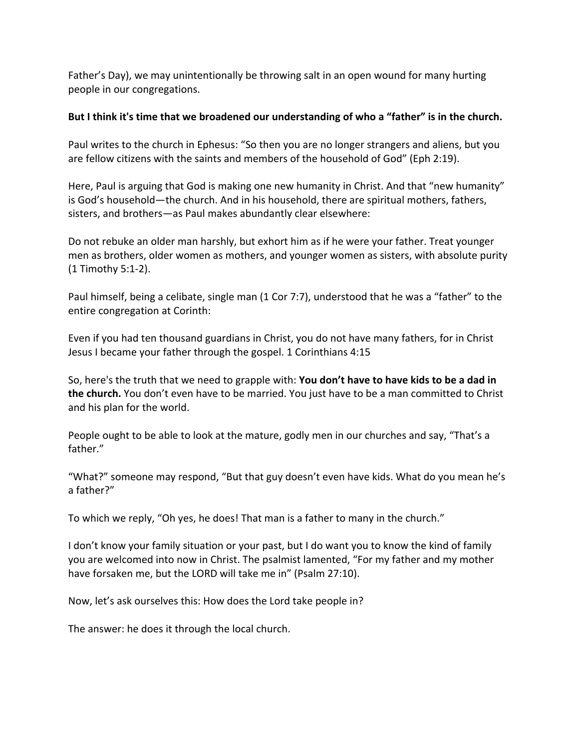Father's Day), we may unintentionally be throwing salt in an open wound for many hurting people in our congregations.

## **But I think it's time that we broadened our understanding of who a "father" is in the church.**

Paul writes to the church in Ephesus: "So then you are no longer strangers and aliens, but you are fellow citizens with the saints and members of the household of God" (Eph 2:19).

Here, Paul is arguing that God is making one new humanity in Christ. And that "new humanity" is God's household—the church. And in his household, there are spiritual mothers, fathers, sisters, and brothers—as Paul makes abundantly clear elsewhere:

Do not rebuke an older man harshly, but exhort him as if he were your father. Treat younger men as brothers, older women as mothers, and younger women as sisters, with absolute purity (1 Timothy 5:1-2).

Paul himself, being a celibate, single man (1 Cor 7:7), understood that he was a "father" to the entire congregation at Corinth:

Even if you had ten thousand guardians in Christ, you do not have many fathers, for in Christ Jesus I became your father through the gospel. 1 Corinthians 4:15

So, here's the truth that we need to grapple with: **You don't have to have kids to be a dad in the church.** You don't even have to be married. You just have to be a man committed to Christ and his plan for the world.

People ought to be able to look at the mature, godly men in our churches and say, "That's a father."

"What?" someone may respond, "But that guy doesn't even have kids. What do you mean he's a father?"

To which we reply, "Oh yes, he does! That man is a father to many in the church."

I don't know your family situation or your past, but I do want you to know the kind of family you are welcomed into now in Christ. The psalmist lamented, "For my father and my mother have forsaken me, but the LORD will take me in" (Psalm 27:10).

Now, let's ask ourselves this: How does the Lord take people in?

The answer: he does it through the local church.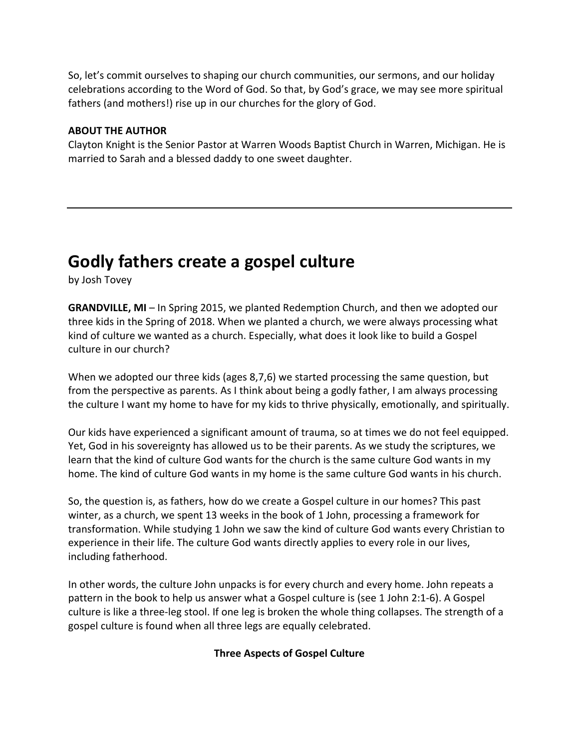So, let's commit ourselves to shaping our church communities, our sermons, and our holiday celebrations according to the Word of God. So that, by God's grace, we may see more spiritual fathers (and mothers!) rise up in our churches for the glory of God.

#### **ABOUT THE AUTHOR**

Clayton Knight is the Senior Pastor at Warren Woods Baptist Church in Warren, Michigan. He is married to Sarah and a blessed daddy to one sweet daughter.

## **Godly fathers create a gospel culture**

by Josh Tovey

**GRANDVILLE, MI** – In Spring 2015, we planted Redemption Church, and then we adopted our three kids in the Spring of 2018. When we planted a church, we were always processing what kind of culture we wanted as a church. Especially, what does it look like to build a Gospel culture in our church?

When we adopted our three kids (ages 8,7,6) we started processing the same question, but from the perspective as parents. As I think about being a godly father, I am always processing the culture I want my home to have for my kids to thrive physically, emotionally, and spiritually.

Our kids have experienced a significant amount of trauma, so at times we do not feel equipped. Yet, God in his sovereignty has allowed us to be their parents. As we study the scriptures, we learn that the kind of culture God wants for the church is the same culture God wants in my home. The kind of culture God wants in my home is the same culture God wants in his church.

So, the question is, as fathers, how do we create a Gospel culture in our homes? This past winter, as a church, we spent 13 weeks in the book of 1 John, processing a framework for transformation. While studying 1 John we saw the kind of culture God wants every Christian to experience in their life. The culture God wants directly applies to every role in our lives, including fatherhood.

In other words, the culture John unpacks is for every church and every home. John repeats a pattern in the book to help us answer what a Gospel culture is (see 1 John 2:1-6). A Gospel culture is like a three-leg stool. If one leg is broken the whole thing collapses. The strength of a gospel culture is found when all three legs are equally celebrated.

#### **Three Aspects of Gospel Culture**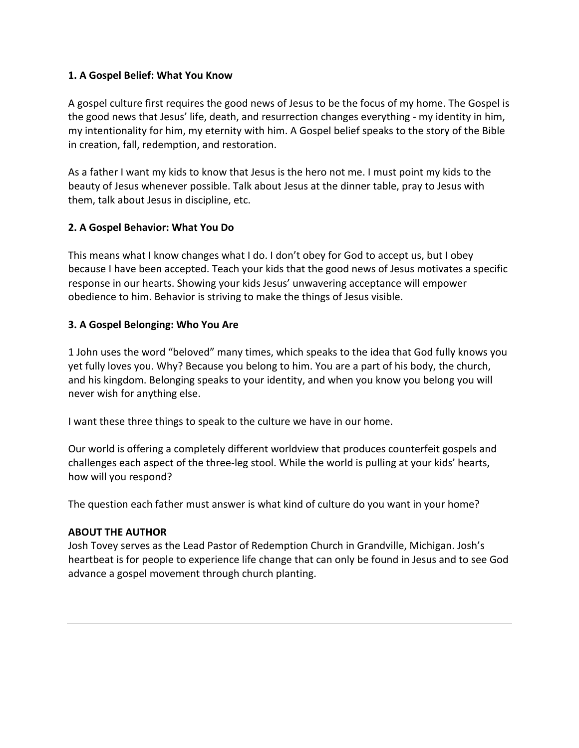## **1. A Gospel Belief: What You Know**

A gospel culture first requires the good news of Jesus to be the focus of my home. The Gospel is the good news that Jesus' life, death, and resurrection changes everything - my identity in him, my intentionality for him, my eternity with him. A Gospel belief speaks to the story of the Bible in creation, fall, redemption, and restoration.

As a father I want my kids to know that Jesus is the hero not me. I must point my kids to the beauty of Jesus whenever possible. Talk about Jesus at the dinner table, pray to Jesus with them, talk about Jesus in discipline, etc.

## **2. A Gospel Behavior: What You Do**

This means what I know changes what I do. I don't obey for God to accept us, but I obey because I have been accepted. Teach your kids that the good news of Jesus motivates a specific response in our hearts. Showing your kids Jesus' unwavering acceptance will empower obedience to him. Behavior is striving to make the things of Jesus visible.

## **3. A Gospel Belonging: Who You Are**

1 John uses the word "beloved" many times, which speaks to the idea that God fully knows you yet fully loves you. Why? Because you belong to him. You are a part of his body, the church, and his kingdom. Belonging speaks to your identity, and when you know you belong you will never wish for anything else.

I want these three things to speak to the culture we have in our home.

Our world is offering a completely different worldview that produces counterfeit gospels and challenges each aspect of the three-leg stool. While the world is pulling at your kids' hearts, how will you respond?

The question each father must answer is what kind of culture do you want in your home?

#### **ABOUT THE AUTHOR**

Josh Tovey serves as the Lead Pastor of Redemption Church in Grandville, Michigan. Josh's heartbeat is for people to experience life change that can only be found in Jesus and to see God advance a gospel movement through church planting.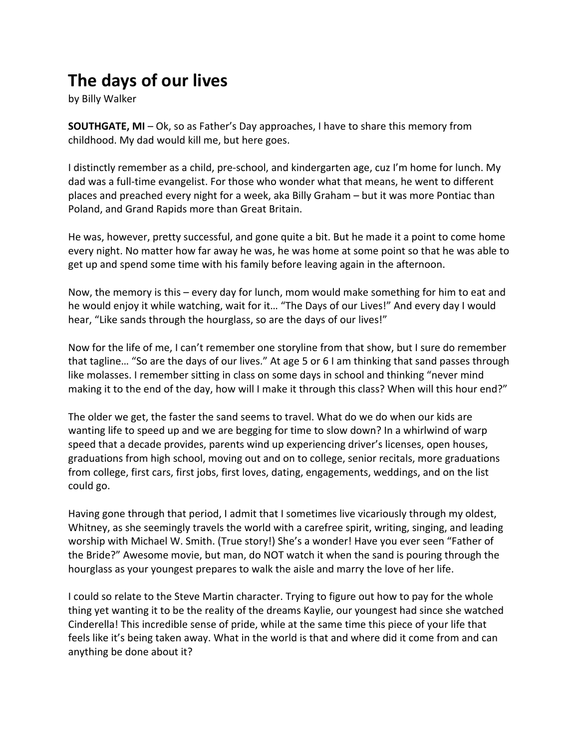# **The days of our lives**

by Billy Walker

**SOUTHGATE, MI** – Ok, so as Father's Day approaches, I have to share this memory from childhood. My dad would kill me, but here goes.

I distinctly remember as a child, pre-school, and kindergarten age, cuz I'm home for lunch. My dad was a full-time evangelist. For those who wonder what that means, he went to different places and preached every night for a week, aka Billy Graham – but it was more Pontiac than Poland, and Grand Rapids more than Great Britain.

He was, however, pretty successful, and gone quite a bit. But he made it a point to come home every night. No matter how far away he was, he was home at some point so that he was able to get up and spend some time with his family before leaving again in the afternoon.

Now, the memory is this – every day for lunch, mom would make something for him to eat and he would enjoy it while watching, wait for it… "The Days of our Lives!" And every day I would hear, "Like sands through the hourglass, so are the days of our lives!"

Now for the life of me, I can't remember one storyline from that show, but I sure do remember that tagline… "So are the days of our lives." At age 5 or 6 I am thinking that sand passes through like molasses. I remember sitting in class on some days in school and thinking "never mind making it to the end of the day, how will I make it through this class? When will this hour end?"

The older we get, the faster the sand seems to travel. What do we do when our kids are wanting life to speed up and we are begging for time to slow down? In a whirlwind of warp speed that a decade provides, parents wind up experiencing driver's licenses, open houses, graduations from high school, moving out and on to college, senior recitals, more graduations from college, first cars, first jobs, first loves, dating, engagements, weddings, and on the list could go.

Having gone through that period, I admit that I sometimes live vicariously through my oldest, Whitney, as she seemingly travels the world with a carefree spirit, writing, singing, and leading worship with Michael W. Smith. (True story!) She's a wonder! Have you ever seen "Father of the Bride?" Awesome movie, but man, do NOT watch it when the sand is pouring through the hourglass as your youngest prepares to walk the aisle and marry the love of her life.

I could so relate to the Steve Martin character. Trying to figure out how to pay for the whole thing yet wanting it to be the reality of the dreams Kaylie, our youngest had since she watched Cinderella! This incredible sense of pride, while at the same time this piece of your life that feels like it's being taken away. What in the world is that and where did it come from and can anything be done about it?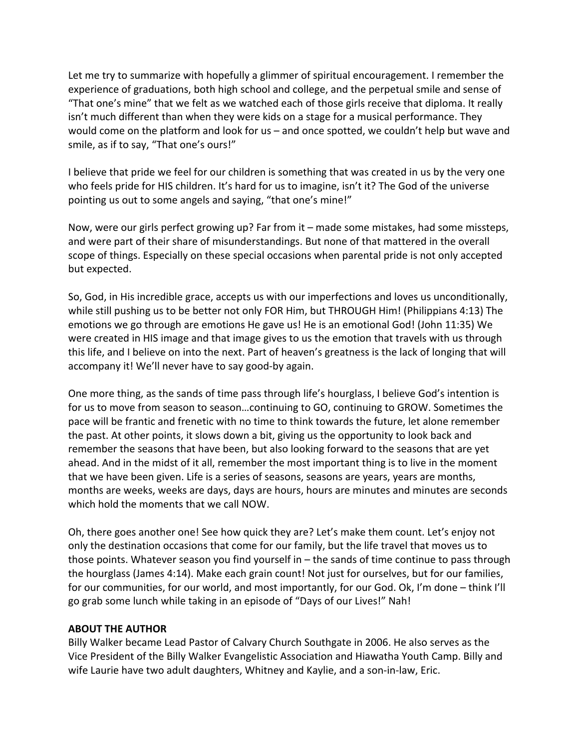Let me try to summarize with hopefully a glimmer of spiritual encouragement. I remember the experience of graduations, both high school and college, and the perpetual smile and sense of "That one's mine" that we felt as we watched each of those girls receive that diploma. It really isn't much different than when they were kids on a stage for a musical performance. They would come on the platform and look for us – and once spotted, we couldn't help but wave and smile, as if to say, "That one's ours!"

I believe that pride we feel for our children is something that was created in us by the very one who feels pride for HIS children. It's hard for us to imagine, isn't it? The God of the universe pointing us out to some angels and saying, "that one's mine!"

Now, were our girls perfect growing up? Far from it – made some mistakes, had some missteps, and were part of their share of misunderstandings. But none of that mattered in the overall scope of things. Especially on these special occasions when parental pride is not only accepted but expected.

So, God, in His incredible grace, accepts us with our imperfections and loves us unconditionally, while still pushing us to be better not only FOR Him, but THROUGH Him! (Philippians 4:13) The emotions we go through are emotions He gave us! He is an emotional God! (John 11:35) We were created in HIS image and that image gives to us the emotion that travels with us through this life, and I believe on into the next. Part of heaven's greatness is the lack of longing that will accompany it! We'll never have to say good-by again.

One more thing, as the sands of time pass through life's hourglass, I believe God's intention is for us to move from season to season…continuing to GO, continuing to GROW. Sometimes the pace will be frantic and frenetic with no time to think towards the future, let alone remember the past. At other points, it slows down a bit, giving us the opportunity to look back and remember the seasons that have been, but also looking forward to the seasons that are yet ahead. And in the midst of it all, remember the most important thing is to live in the moment that we have been given. Life is a series of seasons, seasons are years, years are months, months are weeks, weeks are days, days are hours, hours are minutes and minutes are seconds which hold the moments that we call NOW.

Oh, there goes another one! See how quick they are? Let's make them count. Let's enjoy not only the destination occasions that come for our family, but the life travel that moves us to those points. Whatever season you find yourself in – the sands of time continue to pass through the hourglass (James 4:14). Make each grain count! Not just for ourselves, but for our families, for our communities, for our world, and most importantly, for our God. Ok, I'm done – think I'll go grab some lunch while taking in an episode of "Days of our Lives!" Nah!

#### **ABOUT THE AUTHOR**

Billy Walker became Lead Pastor of Calvary Church Southgate in 2006. He also serves as the Vice President of the Billy Walker Evangelistic Association and Hiawatha Youth Camp. Billy and wife Laurie have two adult daughters, Whitney and Kaylie, and a son-in-law, Eric.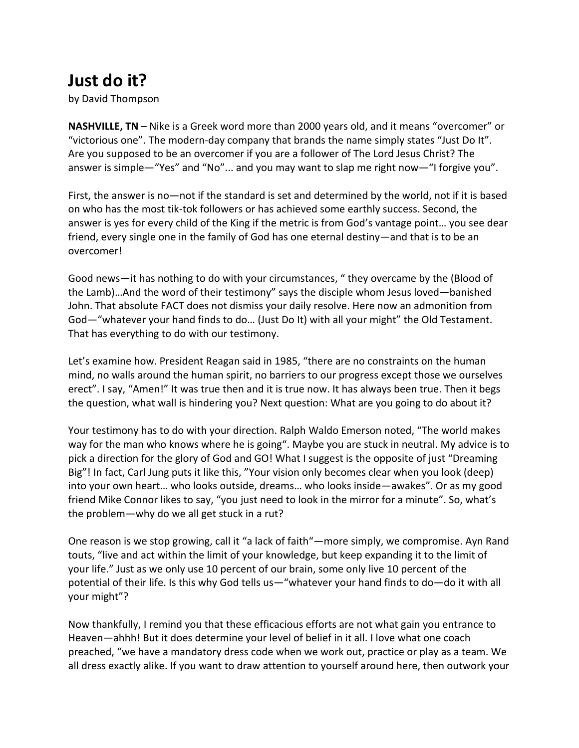## **Just do it?**

by David Thompson

**NASHVILLE, TN** – Nike is a Greek word more than 2000 years old, and it means "overcomer" or "victorious one". The modern-day company that brands the name simply states "Just Do It". Are you supposed to be an overcomer if you are a follower of The Lord Jesus Christ? The answer is simple—"Yes" and "No"... and you may want to slap me right now—"I forgive you".

First, the answer is no—not if the standard is set and determined by the world, not if it is based on who has the most tik-tok followers or has achieved some earthly success. Second, the answer is yes for every child of the King if the metric is from God's vantage point… you see dear friend, every single one in the family of God has one eternal destiny—and that is to be an overcomer!

Good news—it has nothing to do with your circumstances, " they overcame by the (Blood of the Lamb)…And the word of their testimony" says the disciple whom Jesus loved—banished John. That absolute FACT does not dismiss your daily resolve. Here now an admonition from God—"whatever your hand finds to do… (Just Do It) with all your might" the Old Testament. That has everything to do with our testimony.

Let's examine how. President Reagan said in 1985, "there are no constraints on the human mind, no walls around the human spirit, no barriers to our progress except those we ourselves erect". I say, "Amen!" It was true then and it is true now. It has always been true. Then it begs the question, what wall is hindering you? Next question: What are you going to do about it?

Your testimony has to do with your direction. Ralph Waldo Emerson noted, "The world makes way for the man who knows where he is going". Maybe you are stuck in neutral. My advice is to pick a direction for the glory of God and GO! What I suggest is the opposite of just "Dreaming Big"! In fact, Carl Jung puts it like this, "Your vision only becomes clear when you look (deep) into your own heart… who looks outside, dreams… who looks inside—awakes". Or as my good friend Mike Connor likes to say, "you just need to look in the mirror for a minute". So, what's the problem—why do we all get stuck in a rut?

One reason is we stop growing, call it "a lack of faith"—more simply, we compromise. Ayn Rand touts, "live and act within the limit of your knowledge, but keep expanding it to the limit of your life." Just as we only use 10 percent of our brain, some only live 10 percent of the potential of their life. Is this why God tells us—"whatever your hand finds to do—do it with all your might"?

Now thankfully, I remind you that these efficacious efforts are not what gain you entrance to Heaven—ahhh! But it does determine your level of belief in it all. I love what one coach preached, "we have a mandatory dress code when we work out, practice or play as a team. We all dress exactly alike. If you want to draw attention to yourself around here, then outwork your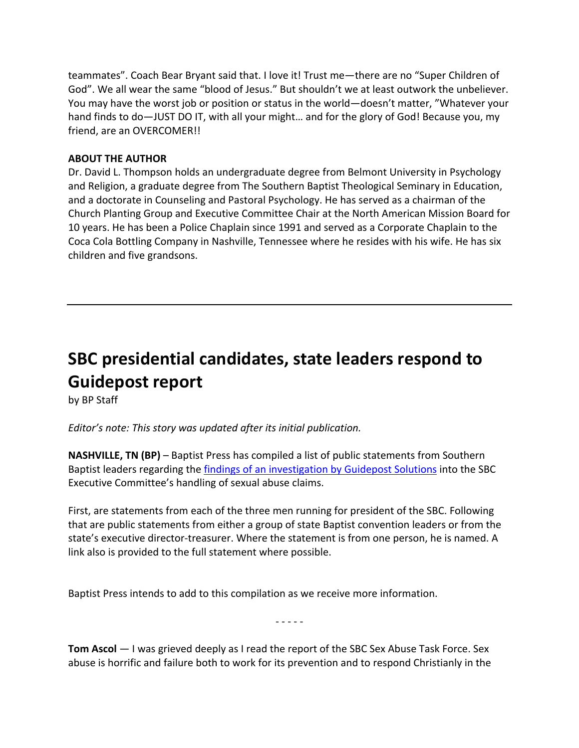teammates". Coach Bear Bryant said that. I love it! Trust me—there are no "Super Children of God". We all wear the same "blood of Jesus." But shouldn't we at least outwork the unbeliever. You may have the worst job or position or status in the world—doesn't matter, "Whatever your hand finds to do—JUST DO IT, with all your might... and for the glory of God! Because you, my friend, are an OVERCOMER!!

## **ABOUT THE AUTHOR**

Dr. David L. Thompson holds an undergraduate degree from Belmont University in Psychology and Religion, a graduate degree from The Southern Baptist Theological Seminary in Education, and a doctorate in Counseling and Pastoral Psychology. He has served as a chairman of the Church Planting Group and Executive Committee Chair at the North American Mission Board for 10 years. He has been a Police Chaplain since 1991 and served as a Corporate Chaplain to the Coca Cola Bottling Company in Nashville, Tennessee where he resides with his wife. He has six children and five grandsons.

# **SBC presidential candidates, state leaders respond to Guidepost report**

by BP Staff

*Editor's note: This story was updated after its initial publication.*

**NASHVILLE, TN (BP)** – Baptist Press has compiled a list of public statements from Southern Baptist leaders regarding the findings of an investigation by Guidepost Solutions into the SBC Executive Committee's handling of sexual abuse claims.

First, are statements from each of the three men running for president of the SBC. Following that are public statements from either a group of state Baptist convention leaders or from the state's executive director-treasurer. Where the statement is from one person, he is named. A link also is provided to the full statement where possible.

Baptist Press intends to add to this compilation as we receive more information.

- - - - -

**Tom Ascol** — I was grieved deeply as I read the report of the SBC Sex Abuse Task Force. Sex abuse is horrific and failure both to work for its prevention and to respond Christianly in the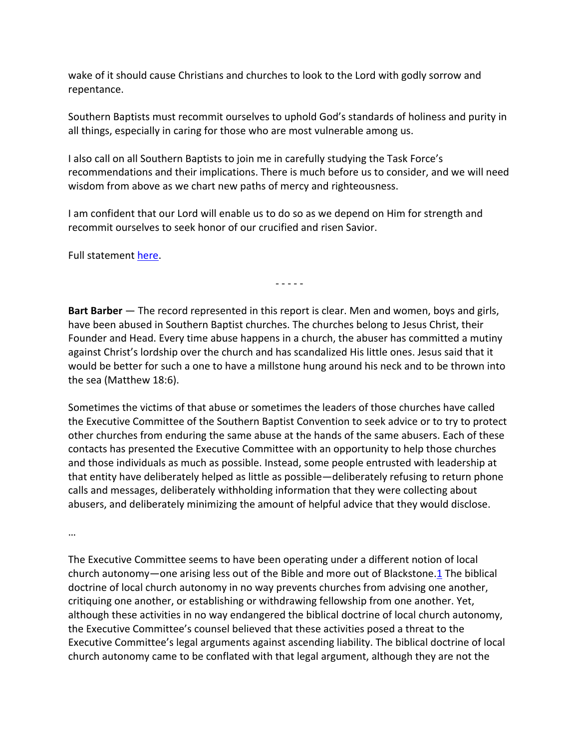wake of it should cause Christians and churches to look to the Lord with godly sorrow and repentance.

Southern Baptists must recommit ourselves to uphold God's standards of holiness and purity in all things, especially in caring for those who are most vulnerable among us.

I also call on all Southern Baptists to join me in carefully studying the Task Force's recommendations and their implications. There is much before us to consider, and we will need wisdom from above as we chart new paths of mercy and righteousness.

I am confident that our Lord will enable us to do so as we depend on Him for strength and recommit ourselves to seek honor of our crucified and risen Savior.

Full statement here.

- - - - -

**Bart Barber** — The record represented in this report is clear. Men and women, boys and girls, have been abused in Southern Baptist churches. The churches belong to Jesus Christ, their Founder and Head. Every time abuse happens in a church, the abuser has committed a mutiny against Christ's lordship over the church and has scandalized His little ones. Jesus said that it would be better for such a one to have a millstone hung around his neck and to be thrown into the sea (Matthew 18:6).

Sometimes the victims of that abuse or sometimes the leaders of those churches have called the Executive Committee of the Southern Baptist Convention to seek advice or to try to protect other churches from enduring the same abuse at the hands of the same abusers. Each of these contacts has presented the Executive Committee with an opportunity to help those churches and those individuals as much as possible. Instead, some people entrusted with leadership at that entity have deliberately helped as little as possible—deliberately refusing to return phone calls and messages, deliberately withholding information that they were collecting about abusers, and deliberately minimizing the amount of helpful advice that they would disclose.

…

The Executive Committee seems to have been operating under a different notion of local church autonomy—one arising less out of the Bible and more out of Blackstone.1 The biblical doctrine of local church autonomy in no way prevents churches from advising one another, critiquing one another, or establishing or withdrawing fellowship from one another. Yet, although these activities in no way endangered the biblical doctrine of local church autonomy, the Executive Committee's counsel believed that these activities posed a threat to the Executive Committee's legal arguments against ascending liability. The biblical doctrine of local church autonomy came to be conflated with that legal argument, although they are not the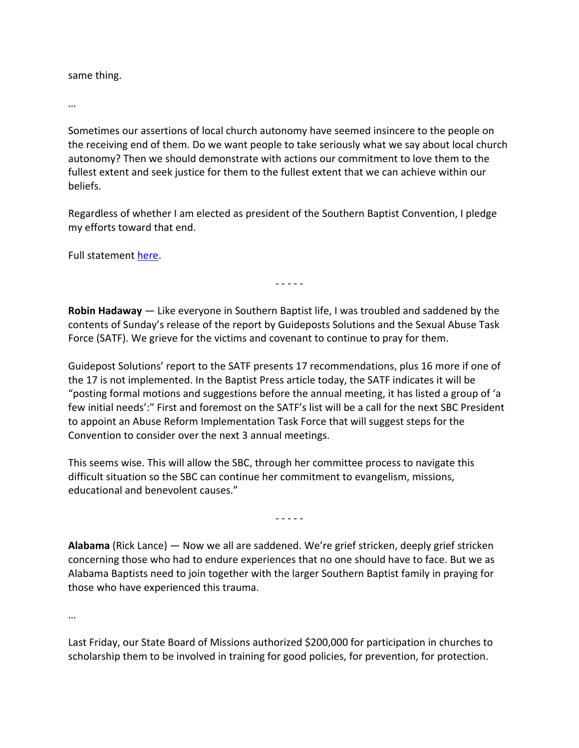same thing.

…

Sometimes our assertions of local church autonomy have seemed insincere to the people on the receiving end of them. Do we want people to take seriously what we say about local church autonomy? Then we should demonstrate with actions our commitment to love them to the fullest extent and seek justice for them to the fullest extent that we can achieve within our beliefs.

Regardless of whether I am elected as president of the Southern Baptist Convention, I pledge my efforts toward that end.

Full statement here.

- - - - -

**Robin Hadaway** — Like everyone in Southern Baptist life, I was troubled and saddened by the contents of Sunday's release of the report by Guideposts Solutions and the Sexual Abuse Task Force (SATF). We grieve for the victims and covenant to continue to pray for them.

Guidepost Solutions' report to the SATF presents 17 recommendations, plus 16 more if one of the 17 is not implemented. In the Baptist Press article today, the SATF indicates it will be "posting formal motions and suggestions before the annual meeting, it has listed a group of 'a few initial needs':" First and foremost on the SATF's list will be a call for the next SBC President to appoint an Abuse Reform Implementation Task Force that will suggest steps for the Convention to consider over the next 3 annual meetings.

This seems wise. This will allow the SBC, through her committee process to navigate this difficult situation so the SBC can continue her commitment to evangelism, missions, educational and benevolent causes."

- - - - -

**Alabama** (Rick Lance) — Now we all are saddened. We're grief stricken, deeply grief stricken concerning those who had to endure experiences that no one should have to face. But we as Alabama Baptists need to join together with the larger Southern Baptist family in praying for those who have experienced this trauma.

…

Last Friday, our State Board of Missions authorized \$200,000 for participation in churches to scholarship them to be involved in training for good policies, for prevention, for protection.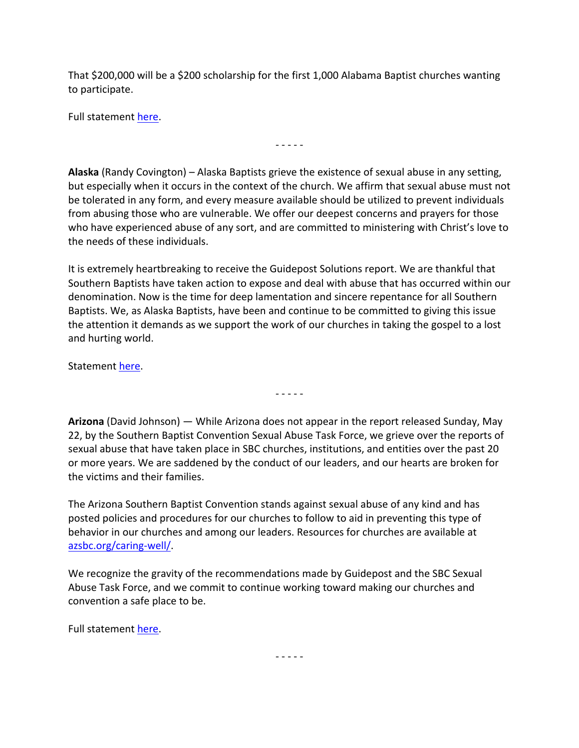That \$200,000 will be a \$200 scholarship for the first 1,000 Alabama Baptist churches wanting to participate.

Full statement here.

**Alaska** (Randy Covington) – Alaska Baptists grieve the existence of sexual abuse in any setting, but especially when it occurs in the context of the church. We affirm that sexual abuse must not be tolerated in any form, and every measure available should be utilized to prevent individuals from abusing those who are vulnerable. We offer our deepest concerns and prayers for those who have experienced abuse of any sort, and are committed to ministering with Christ's love to the needs of these individuals.

- - - - -

It is extremely heartbreaking to receive the Guidepost Solutions report. We are thankful that Southern Baptists have taken action to expose and deal with abuse that has occurred within our denomination. Now is the time for deep lamentation and sincere repentance for all Southern Baptists. We, as Alaska Baptists, have been and continue to be committed to giving this issue the attention it demands as we support the work of our churches in taking the gospel to a lost and hurting world.

Statement here.

- - - - -

**Arizona** (David Johnson) — While Arizona does not appear in the report released Sunday, May 22, by the Southern Baptist Convention Sexual Abuse Task Force, we grieve over the reports of sexual abuse that have taken place in SBC churches, institutions, and entities over the past 20 or more years. We are saddened by the conduct of our leaders, and our hearts are broken for the victims and their families.

The Arizona Southern Baptist Convention stands against sexual abuse of any kind and has posted policies and procedures for our churches to follow to aid in preventing this type of behavior in our churches and among our leaders. Resources for churches are available at azsbc.org/caring-well/.

We recognize the gravity of the recommendations made by Guidepost and the SBC Sexual Abuse Task Force, and we commit to continue working toward making our churches and convention a safe place to be.

Full statement here.

- - - - -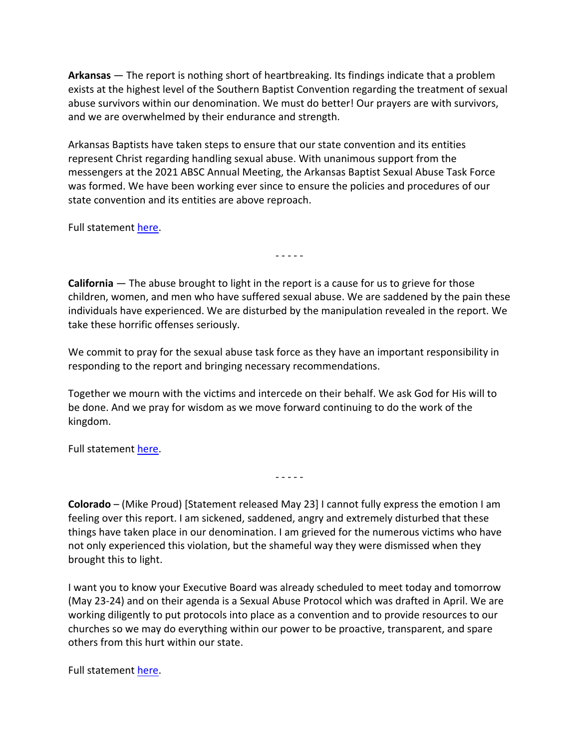**Arkansas** — The report is nothing short of heartbreaking. Its findings indicate that a problem exists at the highest level of the Southern Baptist Convention regarding the treatment of sexual abuse survivors within our denomination. We must do better! Our prayers are with survivors, and we are overwhelmed by their endurance and strength.

Arkansas Baptists have taken steps to ensure that our state convention and its entities represent Christ regarding handling sexual abuse. With unanimous support from the messengers at the 2021 ABSC Annual Meeting, the Arkansas Baptist Sexual Abuse Task Force was formed. We have been working ever since to ensure the policies and procedures of our state convention and its entities are above reproach.

Full statement here.

- - - - -

**California** — The abuse brought to light in the report is a cause for us to grieve for those children, women, and men who have suffered sexual abuse. We are saddened by the pain these individuals have experienced. We are disturbed by the manipulation revealed in the report. We take these horrific offenses seriously.

We commit to pray for the sexual abuse task force as they have an important responsibility in responding to the report and bringing necessary recommendations.

Together we mourn with the victims and intercede on their behalf. We ask God for His will to be done. And we pray for wisdom as we move forward continuing to do the work of the kingdom.

Full statement here.

**Colorado** – (Mike Proud) [Statement released May 23] I cannot fully express the emotion I am feeling over this report. I am sickened, saddened, angry and extremely disturbed that these things have taken place in our denomination. I am grieved for the numerous victims who have not only experienced this violation, but the shameful way they were dismissed when they brought this to light.

- - - - -

I want you to know your Executive Board was already scheduled to meet today and tomorrow (May 23-24) and on their agenda is a Sexual Abuse Protocol which was drafted in April. We are working diligently to put protocols into place as a convention and to provide resources to our churches so we may do everything within our power to be proactive, transparent, and spare others from this hurt within our state.

Full statement here.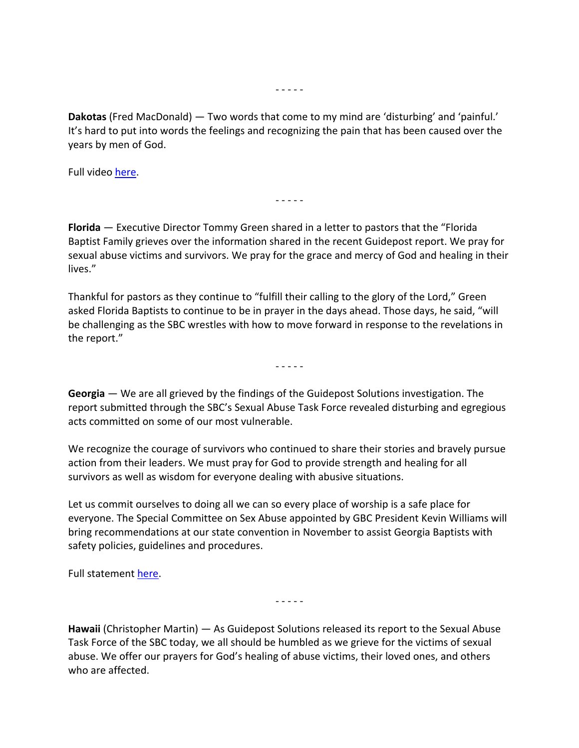**Dakotas** (Fred MacDonald) — Two words that come to my mind are 'disturbing' and 'painful.' It's hard to put into words the feelings and recognizing the pain that has been caused over the years by men of God.

Full video here.

**Florida** — Executive Director Tommy Green shared in a letter to pastors that the "Florida Baptist Family grieves over the information shared in the recent Guidepost report. We pray for sexual abuse victims and survivors. We pray for the grace and mercy of God and healing in their lives."

- - - - -

Thankful for pastors as they continue to "fulfill their calling to the glory of the Lord," Green asked Florida Baptists to continue to be in prayer in the days ahead. Those days, he said, "will be challenging as the SBC wrestles with how to move forward in response to the revelations in the report."

**Georgia** — We are all grieved by the findings of the Guidepost Solutions investigation. The report submitted through the SBC's Sexual Abuse Task Force revealed disturbing and egregious acts committed on some of our most vulnerable.

- - - - -

We recognize the courage of survivors who continued to share their stories and bravely pursue action from their leaders. We must pray for God to provide strength and healing for all survivors as well as wisdom for everyone dealing with abusive situations.

Let us commit ourselves to doing all we can so every place of worship is a safe place for everyone. The Special Committee on Sex Abuse appointed by GBC President Kevin Williams will bring recommendations at our state convention in November to assist Georgia Baptists with safety policies, guidelines and procedures.

Full statement here.

- - - - -

**Hawaii** (Christopher Martin) — As Guidepost Solutions released its report to the Sexual Abuse Task Force of the SBC today, we all should be humbled as we grieve for the victims of sexual abuse. We offer our prayers for God's healing of abuse victims, their loved ones, and others who are affected.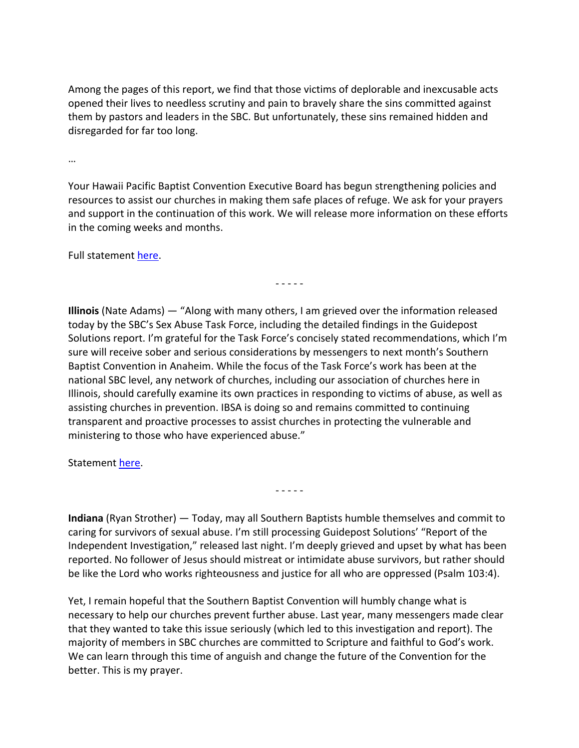Among the pages of this report, we find that those victims of deplorable and inexcusable acts opened their lives to needless scrutiny and pain to bravely share the sins committed against them by pastors and leaders in the SBC. But unfortunately, these sins remained hidden and disregarded for far too long.

…

Your Hawaii Pacific Baptist Convention Executive Board has begun strengthening policies and resources to assist our churches in making them safe places of refuge. We ask for your prayers and support in the continuation of this work. We will release more information on these efforts in the coming weeks and months.

Full statement here.

- - - - -

**Illinois** (Nate Adams) — "Along with many others, I am grieved over the information released today by the SBC's Sex Abuse Task Force, including the detailed findings in the Guidepost Solutions report. I'm grateful for the Task Force's concisely stated recommendations, which I'm sure will receive sober and serious considerations by messengers to next month's Southern Baptist Convention in Anaheim. While the focus of the Task Force's work has been at the national SBC level, any network of churches, including our association of churches here in Illinois, should carefully examine its own practices in responding to victims of abuse, as well as assisting churches in prevention. IBSA is doing so and remains committed to continuing transparent and proactive processes to assist churches in protecting the vulnerable and ministering to those who have experienced abuse."

Statement here.

**Indiana** (Ryan Strother) — Today, may all Southern Baptists humble themselves and commit to caring for survivors of sexual abuse. I'm still processing Guidepost Solutions' "Report of the Independent Investigation," released last night. I'm deeply grieved and upset by what has been reported. No follower of Jesus should mistreat or intimidate abuse survivors, but rather should be like the Lord who works righteousness and justice for all who are oppressed (Psalm 103:4).

- - - - -

Yet, I remain hopeful that the Southern Baptist Convention will humbly change what is necessary to help our churches prevent further abuse. Last year, many messengers made clear that they wanted to take this issue seriously (which led to this investigation and report). The majority of members in SBC churches are committed to Scripture and faithful to God's work. We can learn through this time of anguish and change the future of the Convention for the better. This is my prayer.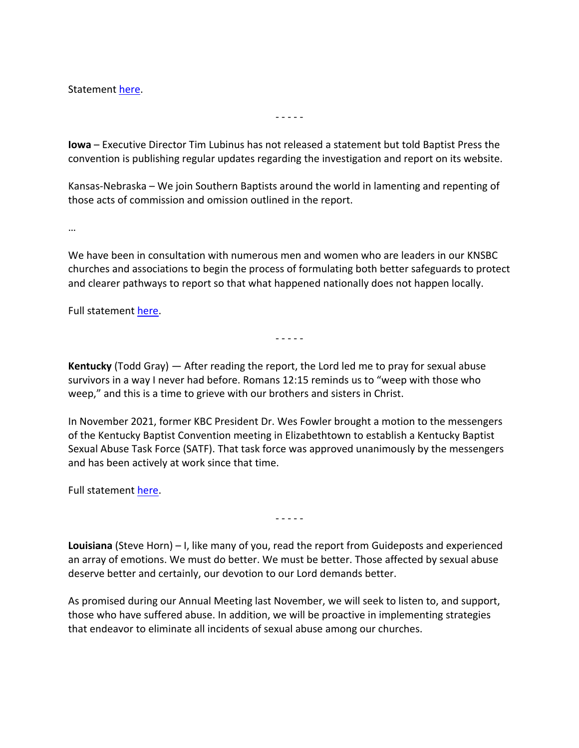Statement here.

**Iowa** – Executive Director Tim Lubinus has not released a statement but told Baptist Press the convention is publishing regular updates regarding the investigation and report on its website.

- - - - -

Kansas-Nebraska – We join Southern Baptists around the world in lamenting and repenting of those acts of commission and omission outlined in the report.

…

We have been in consultation with numerous men and women who are leaders in our KNSBC churches and associations to begin the process of formulating both better safeguards to protect and clearer pathways to report so that what happened nationally does not happen locally.

Full statement here.

- - - - -

**Kentucky** (Todd Gray) — After reading the report, the Lord led me to pray for sexual abuse survivors in a way I never had before. Romans 12:15 reminds us to "weep with those who weep," and this is a time to grieve with our brothers and sisters in Christ.

In November 2021, former KBC President Dr. Wes Fowler brought a motion to the messengers of the Kentucky Baptist Convention meeting in Elizabethtown to establish a Kentucky Baptist Sexual Abuse Task Force (SATF). That task force was approved unanimously by the messengers and has been actively at work since that time.

Full statement here.

- - - - -

**Louisiana** (Steve Horn) – I, like many of you, read the report from Guideposts and experienced an array of emotions. We must do better. We must be better. Those affected by sexual abuse deserve better and certainly, our devotion to our Lord demands better.

As promised during our Annual Meeting last November, we will seek to listen to, and support, those who have suffered abuse. In addition, we will be proactive in implementing strategies that endeavor to eliminate all incidents of sexual abuse among our churches.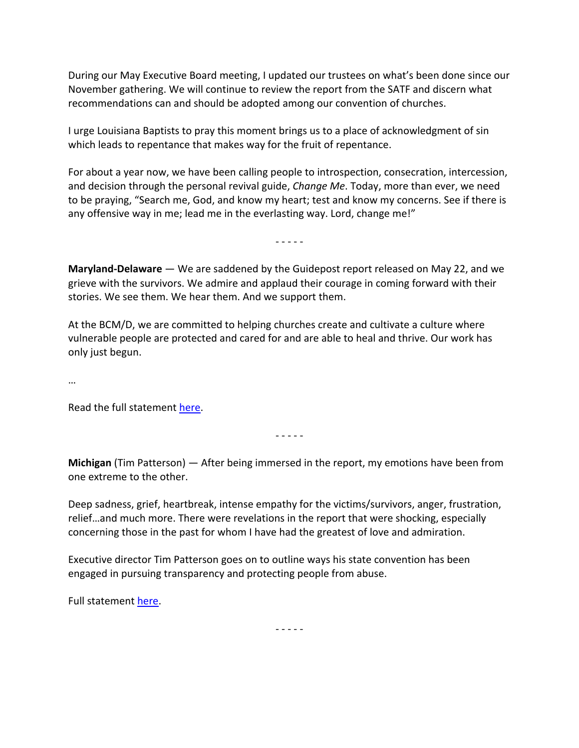During our May Executive Board meeting, I updated our trustees on what's been done since our November gathering. We will continue to review the report from the SATF and discern what recommendations can and should be adopted among our convention of churches.

I urge Louisiana Baptists to pray this moment brings us to a place of acknowledgment of sin which leads to repentance that makes way for the fruit of repentance.

For about a year now, we have been calling people to introspection, consecration, intercession, and decision through the personal revival guide, *Change Me*. Today, more than ever, we need to be praying, "Search me, God, and know my heart; test and know my concerns. See if there is any offensive way in me; lead me in the everlasting way. Lord, change me!"

- - - - -

**Maryland-Delaware** — We are saddened by the Guidepost report released on May 22, and we grieve with the survivors. We admire and applaud their courage in coming forward with their stories. We see them. We hear them. And we support them.

At the BCM/D, we are committed to helping churches create and cultivate a culture where vulnerable people are protected and cared for and are able to heal and thrive. Our work has only just begun.

…

Read the full statement here.

- - - - -

**Michigan** (Tim Patterson) — After being immersed in the report, my emotions have been from one extreme to the other.

Deep sadness, grief, heartbreak, intense empathy for the victims/survivors, anger, frustration, relief…and much more. There were revelations in the report that were shocking, especially concerning those in the past for whom I have had the greatest of love and admiration.

Executive director Tim Patterson goes on to outline ways his state convention has been engaged in pursuing transparency and protecting people from abuse.

Full statement here.

- - - - -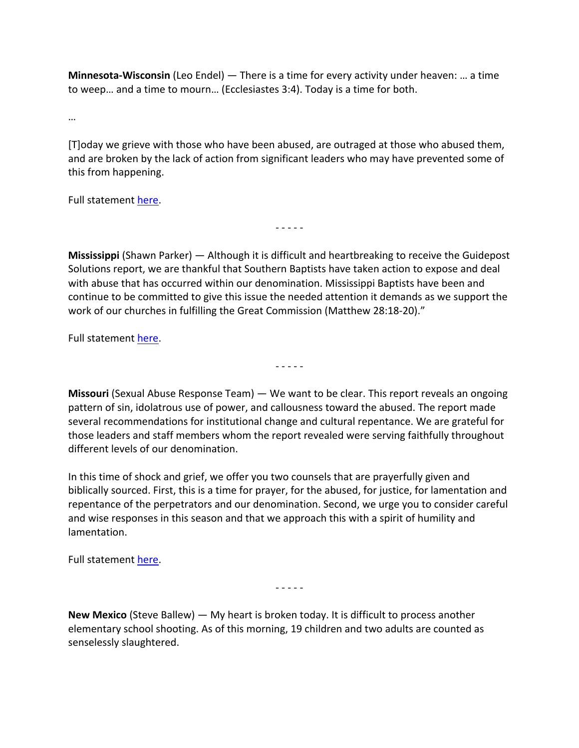**Minnesota-Wisconsin** (Leo Endel) — There is a time for every activity under heaven: … a time to weep… and a time to mourn… (Ecclesiastes 3:4). Today is a time for both.

…

[T]oday we grieve with those who have been abused, are outraged at those who abused them, and are broken by the lack of action from significant leaders who may have prevented some of this from happening.

Full statement here.

**Mississippi** (Shawn Parker) — Although it is difficult and heartbreaking to receive the Guidepost Solutions report, we are thankful that Southern Baptists have taken action to expose and deal with abuse that has occurred within our denomination. Mississippi Baptists have been and continue to be committed to give this issue the needed attention it demands as we support the work of our churches in fulfilling the Great Commission (Matthew 28:18-20)."

- - - - -

Full statement here.

**Missouri** (Sexual Abuse Response Team) — We want to be clear. This report reveals an ongoing pattern of sin, idolatrous use of power, and callousness toward the abused. The report made several recommendations for institutional change and cultural repentance. We are grateful for those leaders and staff members whom the report revealed were serving faithfully throughout different levels of our denomination.

- - - - -

In this time of shock and grief, we offer you two counsels that are prayerfully given and biblically sourced. First, this is a time for prayer, for the abused, for justice, for lamentation and repentance of the perpetrators and our denomination. Second, we urge you to consider careful and wise responses in this season and that we approach this with a spirit of humility and lamentation.

Full statement here.

- - - - -

**New Mexico** (Steve Ballew) — My heart is broken today. It is difficult to process another elementary school shooting. As of this morning, 19 children and two adults are counted as senselessly slaughtered.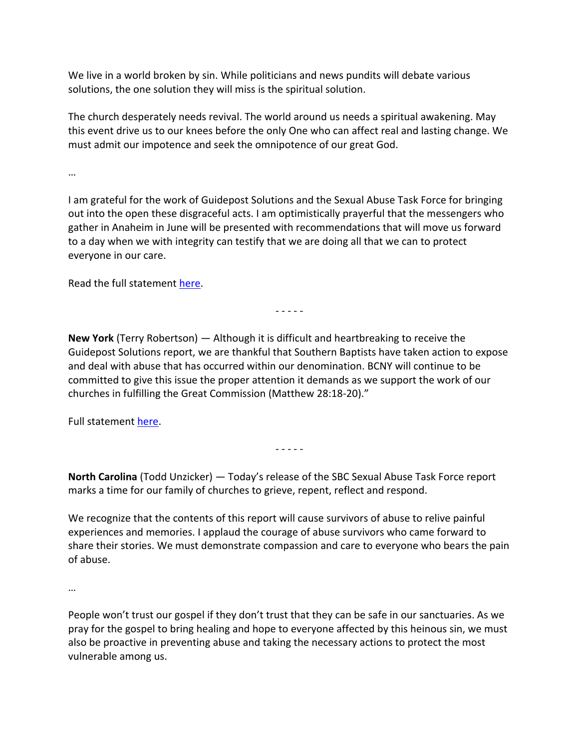We live in a world broken by sin. While politicians and news pundits will debate various solutions, the one solution they will miss is the spiritual solution.

The church desperately needs revival. The world around us needs a spiritual awakening. May this event drive us to our knees before the only One who can affect real and lasting change. We must admit our impotence and seek the omnipotence of our great God.

…

I am grateful for the work of Guidepost Solutions and the Sexual Abuse Task Force for bringing out into the open these disgraceful acts. I am optimistically prayerful that the messengers who gather in Anaheim in June will be presented with recommendations that will move us forward to a day when we with integrity can testify that we are doing all that we can to protect everyone in our care.

Read the full statement here.

- - - - -

**New York** (Terry Robertson) — Although it is difficult and heartbreaking to receive the Guidepost Solutions report, we are thankful that Southern Baptists have taken action to expose and deal with abuse that has occurred within our denomination. BCNY will continue to be committed to give this issue the proper attention it demands as we support the work of our churches in fulfilling the Great Commission (Matthew 28:18-20)."

Full statement here.

- - - - -

**North Carolina** (Todd Unzicker) — Today's release of the SBC Sexual Abuse Task Force report marks a time for our family of churches to grieve, repent, reflect and respond.

We recognize that the contents of this report will cause survivors of abuse to relive painful experiences and memories. I applaud the courage of abuse survivors who came forward to share their stories. We must demonstrate compassion and care to everyone who bears the pain of abuse.

…

People won't trust our gospel if they don't trust that they can be safe in our sanctuaries. As we pray for the gospel to bring healing and hope to everyone affected by this heinous sin, we must also be proactive in preventing abuse and taking the necessary actions to protect the most vulnerable among us.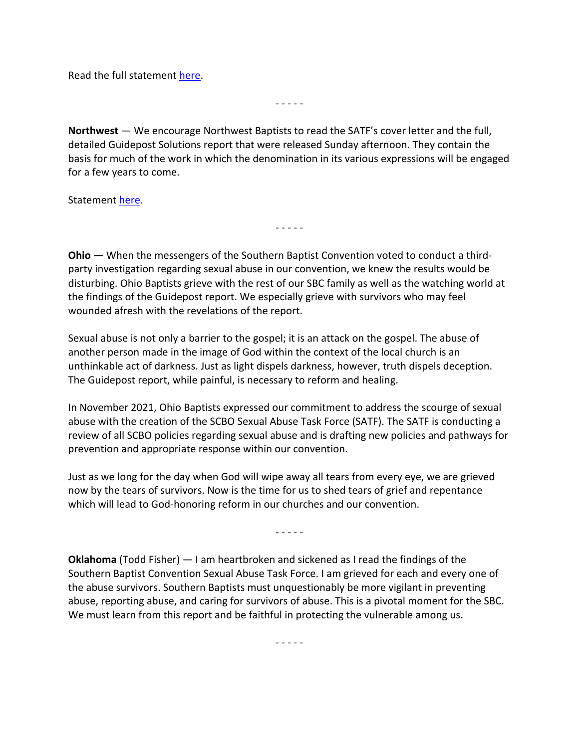Read the full statement here.

**Northwest** — We encourage Northwest Baptists to read the SATF's cover letter and the full, detailed Guidepost Solutions report that were released Sunday afternoon. They contain the basis for much of the work in which the denomination in its various expressions will be engaged for a few years to come.

- - - - -

Statement here.

**Ohio** — When the messengers of the Southern Baptist Convention voted to conduct a thirdparty investigation regarding sexual abuse in our convention, we knew the results would be disturbing. Ohio Baptists grieve with the rest of our SBC family as well as the watching world at the findings of the Guidepost report. We especially grieve with survivors who may feel wounded afresh with the revelations of the report.

- - - - -

Sexual abuse is not only a barrier to the gospel; it is an attack on the gospel. The abuse of another person made in the image of God within the context of the local church is an unthinkable act of darkness. Just as light dispels darkness, however, truth dispels deception. The Guidepost report, while painful, is necessary to reform and healing.

In November 2021, Ohio Baptists expressed our commitment to address the scourge of sexual abuse with the creation of the SCBO Sexual Abuse Task Force (SATF). The SATF is conducting a review of all SCBO policies regarding sexual abuse and is drafting new policies and pathways for prevention and appropriate response within our convention.

Just as we long for the day when God will wipe away all tears from every eye, we are grieved now by the tears of survivors. Now is the time for us to shed tears of grief and repentance which will lead to God-honoring reform in our churches and our convention.

- - - - -

**Oklahoma** (Todd Fisher) — I am heartbroken and sickened as I read the findings of the Southern Baptist Convention Sexual Abuse Task Force. I am grieved for each and every one of the abuse survivors. Southern Baptists must unquestionably be more vigilant in preventing abuse, reporting abuse, and caring for survivors of abuse. This is a pivotal moment for the SBC. We must learn from this report and be faithful in protecting the vulnerable among us.

- - - - -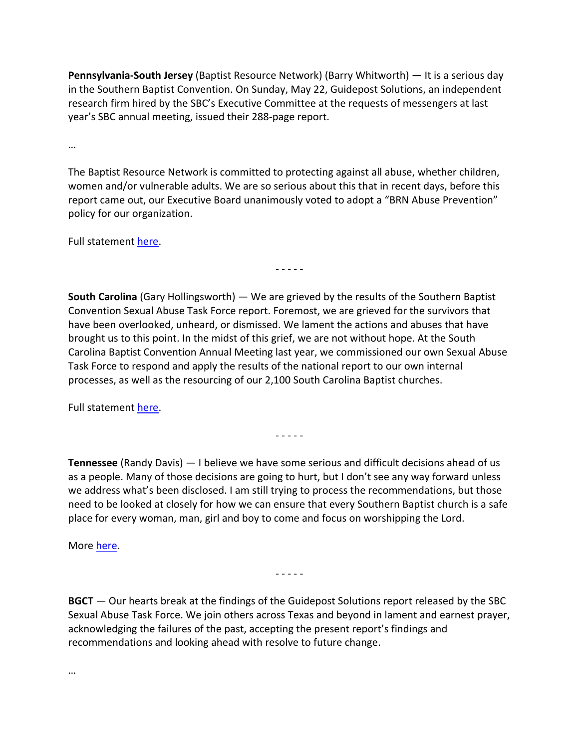**Pennsylvania-South Jersey** (Baptist Resource Network) (Barry Whitworth) — It is a serious day in the Southern Baptist Convention. On Sunday, May 22, Guidepost Solutions, an independent research firm hired by the SBC's Executive Committee at the requests of messengers at last year's SBC annual meeting, issued their 288-page report.

…

The Baptist Resource Network is committed to protecting against all abuse, whether children, women and/or vulnerable adults. We are so serious about this that in recent days, before this report came out, our Executive Board unanimously voted to adopt a "BRN Abuse Prevention" policy for our organization.

Full statement here.

- - - - -

**South Carolina** (Gary Hollingsworth) — We are grieved by the results of the Southern Baptist Convention Sexual Abuse Task Force report. Foremost, we are grieved for the survivors that have been overlooked, unheard, or dismissed. We lament the actions and abuses that have brought us to this point. In the midst of this grief, we are not without hope. At the South Carolina Baptist Convention Annual Meeting last year, we commissioned our own Sexual Abuse Task Force to respond and apply the results of the national report to our own internal processes, as well as the resourcing of our 2,100 South Carolina Baptist churches.

Full statement here.

- - - - -

**Tennessee** (Randy Davis) — I believe we have some serious and difficult decisions ahead of us as a people. Many of those decisions are going to hurt, but I don't see any way forward unless we address what's been disclosed. I am still trying to process the recommendations, but those need to be looked at closely for how we can ensure that every Southern Baptist church is a safe place for every woman, man, girl and boy to come and focus on worshipping the Lord.

More here.

- - - - -

**BGCT** — Our hearts break at the findings of the Guidepost Solutions report released by the SBC Sexual Abuse Task Force. We join others across Texas and beyond in lament and earnest prayer, acknowledging the failures of the past, accepting the present report's findings and recommendations and looking ahead with resolve to future change.

…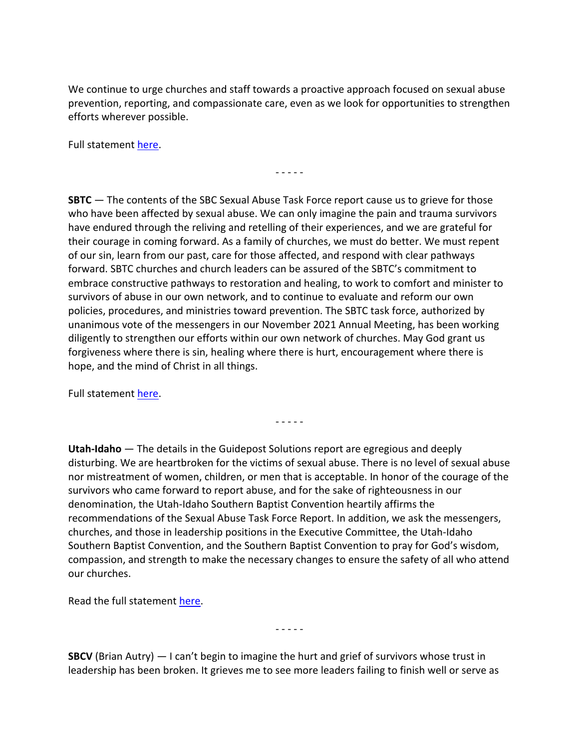We continue to urge churches and staff towards a proactive approach focused on sexual abuse prevention, reporting, and compassionate care, even as we look for opportunities to strengthen efforts wherever possible.

- - - - -

Full statement here.

**SBTC** — The contents of the SBC Sexual Abuse Task Force report cause us to grieve for those who have been affected by sexual abuse. We can only imagine the pain and trauma survivors have endured through the reliving and retelling of their experiences, and we are grateful for their courage in coming forward. As a family of churches, we must do better. We must repent of our sin, learn from our past, care for those affected, and respond with clear pathways forward. SBTC churches and church leaders can be assured of the SBTC's commitment to embrace constructive pathways to restoration and healing, to work to comfort and minister to survivors of abuse in our own network, and to continue to evaluate and reform our own policies, procedures, and ministries toward prevention. The SBTC task force, authorized by unanimous vote of the messengers in our November 2021 Annual Meeting, has been working diligently to strengthen our efforts within our own network of churches. May God grant us forgiveness where there is sin, healing where there is hurt, encouragement where there is hope, and the mind of Christ in all things.

Full statement here.

- - - - -

**Utah-Idaho** — The details in the Guidepost Solutions report are egregious and deeply disturbing. We are heartbroken for the victims of sexual abuse. There is no level of sexual abuse nor mistreatment of women, children, or men that is acceptable. In honor of the courage of the survivors who came forward to report abuse, and for the sake of righteousness in our denomination, the Utah-Idaho Southern Baptist Convention heartily affirms the recommendations of the Sexual Abuse Task Force Report. In addition, we ask the messengers, churches, and those in leadership positions in the Executive Committee, the Utah-Idaho Southern Baptist Convention, and the Southern Baptist Convention to pray for God's wisdom, compassion, and strength to make the necessary changes to ensure the safety of all who attend our churches.

Read the full statement here.

- - - - -

**SBCV** (Brian Autry) — I can't begin to imagine the hurt and grief of survivors whose trust in leadership has been broken. It grieves me to see more leaders failing to finish well or serve as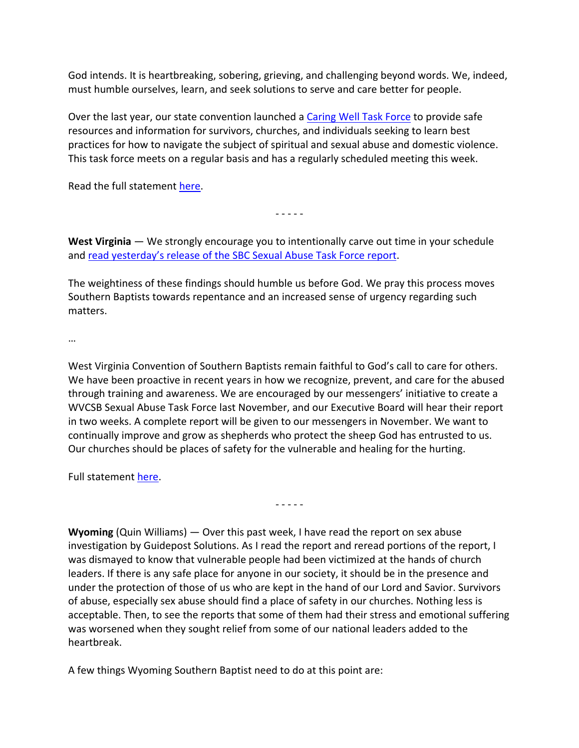God intends. It is heartbreaking, sobering, grieving, and challenging beyond words. We, indeed, must humble ourselves, learn, and seek solutions to serve and care better for people.

Over the last year, our state convention launched a Caring Well Task Force to provide safe resources and information for survivors, churches, and individuals seeking to learn best practices for how to navigate the subject of spiritual and sexual abuse and domestic violence. This task force meets on a regular basis and has a regularly scheduled meeting this week.

Read the full statement here.

- - - - -

**West Virginia** — We strongly encourage you to intentionally carve out time in your schedule and read yesterday's release of the SBC Sexual Abuse Task Force report.

The weightiness of these findings should humble us before God. We pray this process moves Southern Baptists towards repentance and an increased sense of urgency regarding such matters.

…

West Virginia Convention of Southern Baptists remain faithful to God's call to care for others. We have been proactive in recent years in how we recognize, prevent, and care for the abused through training and awareness. We are encouraged by our messengers' initiative to create a WVCSB Sexual Abuse Task Force last November, and our Executive Board will hear their report in two weeks. A complete report will be given to our messengers in November. We want to continually improve and grow as shepherds who protect the sheep God has entrusted to us. Our churches should be places of safety for the vulnerable and healing for the hurting.

Full statement here.

**Wyoming** (Quin Williams) — Over this past week, I have read the report on sex abuse investigation by Guidepost Solutions. As I read the report and reread portions of the report, I was dismayed to know that vulnerable people had been victimized at the hands of church leaders. If there is any safe place for anyone in our society, it should be in the presence and under the protection of those of us who are kept in the hand of our Lord and Savior. Survivors of abuse, especially sex abuse should find a place of safety in our churches. Nothing less is acceptable. Then, to see the reports that some of them had their stress and emotional suffering was worsened when they sought relief from some of our national leaders added to the heartbreak.

- - - - -

A few things Wyoming Southern Baptist need to do at this point are: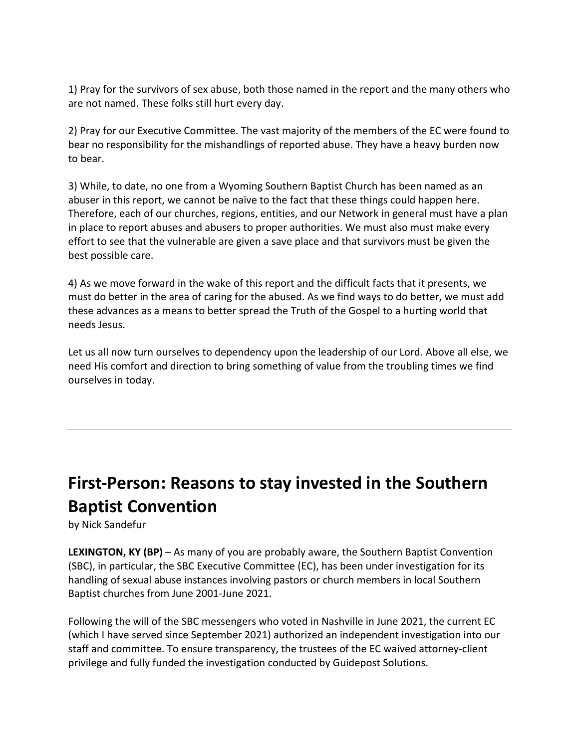1) Pray for the survivors of sex abuse, both those named in the report and the many others who are not named. These folks still hurt every day.

2) Pray for our Executive Committee. The vast majority of the members of the EC were found to bear no responsibility for the mishandlings of reported abuse. They have a heavy burden now to bear.

3) While, to date, no one from a Wyoming Southern Baptist Church has been named as an abuser in this report, we cannot be naïve to the fact that these things could happen here. Therefore, each of our churches, regions, entities, and our Network in general must have a plan in place to report abuses and abusers to proper authorities. We must also must make every effort to see that the vulnerable are given a save place and that survivors must be given the best possible care.

4) As we move forward in the wake of this report and the difficult facts that it presents, we must do better in the area of caring for the abused. As we find ways to do better, we must add these advances as a means to better spread the Truth of the Gospel to a hurting world that needs Jesus.

Let us all now turn ourselves to dependency upon the leadership of our Lord. Above all else, we need His comfort and direction to bring something of value from the troubling times we find ourselves in today.

# **First-Person: Reasons to stay invested in the Southern Baptist Convention**

by Nick Sandefur

**LEXINGTON, KY (BP)** – As many of you are probably aware, the Southern Baptist Convention (SBC), in particular, the SBC Executive Committee (EC), has been under investigation for its handling of sexual abuse instances involving pastors or church members in local Southern Baptist churches from June 2001-June 2021.

Following the will of the SBC messengers who voted in Nashville in June 2021, the current EC (which I have served since September 2021) authorized an independent investigation into our staff and committee. To ensure transparency, the trustees of the EC waived attorney-client privilege and fully funded the investigation conducted by Guidepost Solutions.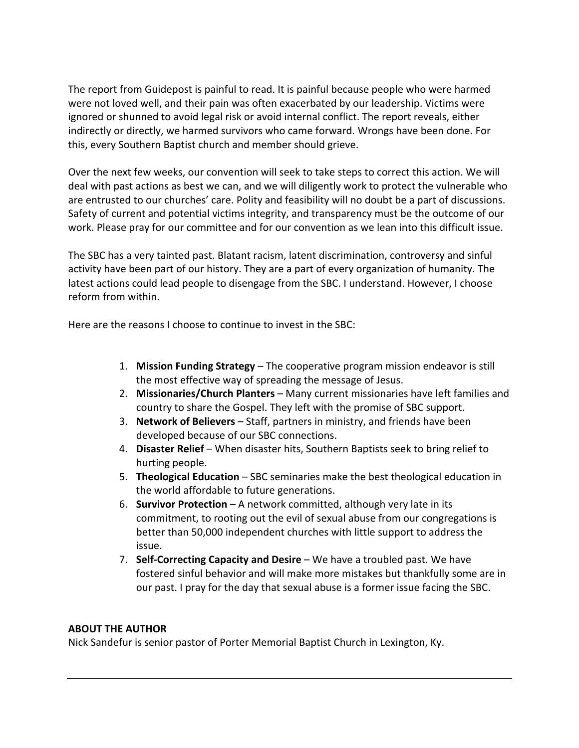The report from Guidepost is painful to read. It is painful because people who were harmed were not loved well, and their pain was often exacerbated by our leadership. Victims were ignored or shunned to avoid legal risk or avoid internal conflict. The report reveals, either indirectly or directly, we harmed survivors who came forward. Wrongs have been done. For this, every Southern Baptist church and member should grieve.

Over the next few weeks, our convention will seek to take steps to correct this action. We will deal with past actions as best we can, and we will diligently work to protect the vulnerable who are entrusted to our churches' care. Polity and feasibility will no doubt be a part of discussions. Safety of current and potential victims integrity, and transparency must be the outcome of our work. Please pray for our committee and for our convention as we lean into this difficult issue.

The SBC has a very tainted past. Blatant racism, latent discrimination, controversy and sinful activity have been part of our history. They are a part of every organization of humanity. The latest actions could lead people to disengage from the SBC. I understand. However, I choose reform from within.

Here are the reasons I choose to continue to invest in the SBC:

- 1. **Mission Funding Strategy** The cooperative program mission endeavor is still the most effective way of spreading the message of Jesus.
- 2. **Missionaries/Church Planters** Many current missionaries have left families and country to share the Gospel. They left with the promise of SBC support.
- 3. **Network of Believers** Staff, partners in ministry, and friends have been developed because of our SBC connections.
- 4. **Disaster Relief** When disaster hits, Southern Baptists seek to bring relief to hurting people.
- 5. **Theological Education** SBC seminaries make the best theological education in the world affordable to future generations.
- 6. **Survivor Protection** A network committed, although very late in its commitment, to rooting out the evil of sexual abuse from our congregations is better than 50,000 independent churches with little support to address the issue.
- 7. **Self-Correcting Capacity and Desire** We have a troubled past. We have fostered sinful behavior and will make more mistakes but thankfully some are in our past. I pray for the day that sexual abuse is a former issue facing the SBC.

#### **ABOUT THE AUTHOR**

Nick Sandefur is senior pastor of Porter Memorial Baptist Church in Lexington, Ky.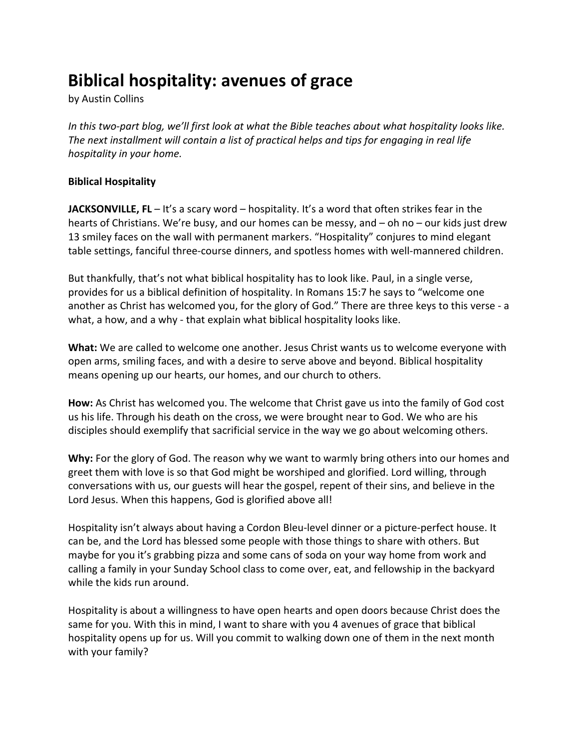# **Biblical hospitality: avenues of grace**

by Austin Collins

*In this two-part blog, we'll first look at what the Bible teaches about what hospitality looks like. The next installment will contain a list of practical helps and tips for engaging in real life hospitality in your home.*

## **Biblical Hospitality**

**JACKSONVILLE, FL** – It's a scary word – hospitality. It's a word that often strikes fear in the hearts of Christians. We're busy, and our homes can be messy, and – oh no – our kids just drew 13 smiley faces on the wall with permanent markers. "Hospitality" conjures to mind elegant table settings, fanciful three-course dinners, and spotless homes with well-mannered children.

But thankfully, that's not what biblical hospitality has to look like. Paul, in a single verse, provides for us a biblical definition of hospitality. In Romans 15:7 he says to "welcome one another as Christ has welcomed you, for the glory of God." There are three keys to this verse - a what, a how, and a why - that explain what biblical hospitality looks like.

**What:** We are called to welcome one another. Jesus Christ wants us to welcome everyone with open arms, smiling faces, and with a desire to serve above and beyond. Biblical hospitality means opening up our hearts, our homes, and our church to others.

**How:** As Christ has welcomed you. The welcome that Christ gave us into the family of God cost us his life. Through his death on the cross, we were brought near to God. We who are his disciples should exemplify that sacrificial service in the way we go about welcoming others.

**Why:** For the glory of God. The reason why we want to warmly bring others into our homes and greet them with love is so that God might be worshiped and glorified. Lord willing, through conversations with us, our guests will hear the gospel, repent of their sins, and believe in the Lord Jesus. When this happens, God is glorified above all!

Hospitality isn't always about having a Cordon Bleu-level dinner or a picture-perfect house. It can be, and the Lord has blessed some people with those things to share with others. But maybe for you it's grabbing pizza and some cans of soda on your way home from work and calling a family in your Sunday School class to come over, eat, and fellowship in the backyard while the kids run around.

Hospitality is about a willingness to have open hearts and open doors because Christ does the same for you. With this in mind, I want to share with you 4 avenues of grace that biblical hospitality opens up for us. Will you commit to walking down one of them in the next month with your family?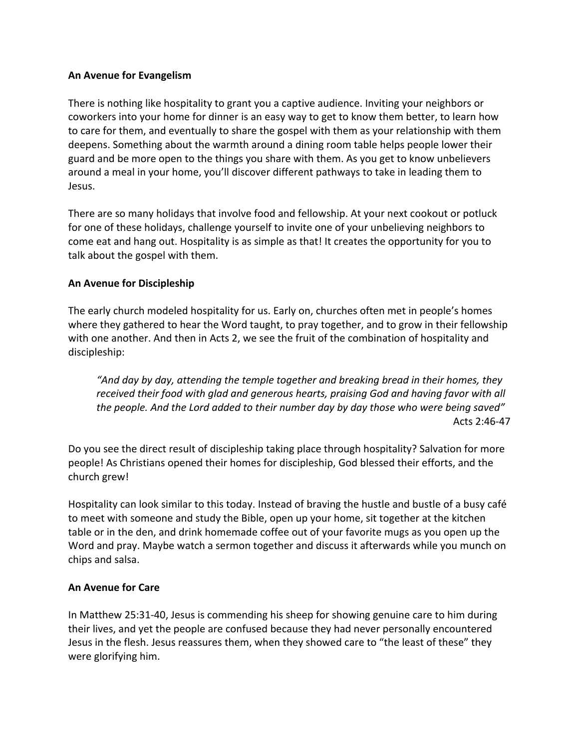## **An Avenue for Evangelism**

There is nothing like hospitality to grant you a captive audience. Inviting your neighbors or coworkers into your home for dinner is an easy way to get to know them better, to learn how to care for them, and eventually to share the gospel with them as your relationship with them deepens. Something about the warmth around a dining room table helps people lower their guard and be more open to the things you share with them. As you get to know unbelievers around a meal in your home, you'll discover different pathways to take in leading them to Jesus.

There are so many holidays that involve food and fellowship. At your next cookout or potluck for one of these holidays, challenge yourself to invite one of your unbelieving neighbors to come eat and hang out. Hospitality is as simple as that! It creates the opportunity for you to talk about the gospel with them.

## **An Avenue for Discipleship**

The early church modeled hospitality for us. Early on, churches often met in people's homes where they gathered to hear the Word taught, to pray together, and to grow in their fellowship with one another. And then in Acts 2, we see the fruit of the combination of hospitality and discipleship:

*"And day by day, attending the temple together and breaking bread in their homes, they received their food with glad and generous hearts, praising God and having favor with all the people. And the Lord added to their number day by day those who were being saved"* Acts 2:46-47

Do you see the direct result of discipleship taking place through hospitality? Salvation for more people! As Christians opened their homes for discipleship, God blessed their efforts, and the church grew!

Hospitality can look similar to this today. Instead of braving the hustle and bustle of a busy café to meet with someone and study the Bible, open up your home, sit together at the kitchen table or in the den, and drink homemade coffee out of your favorite mugs as you open up the Word and pray. Maybe watch a sermon together and discuss it afterwards while you munch on chips and salsa.

## **An Avenue for Care**

In Matthew 25:31-40, Jesus is commending his sheep for showing genuine care to him during their lives, and yet the people are confused because they had never personally encountered Jesus in the flesh. Jesus reassures them, when they showed care to "the least of these" they were glorifying him.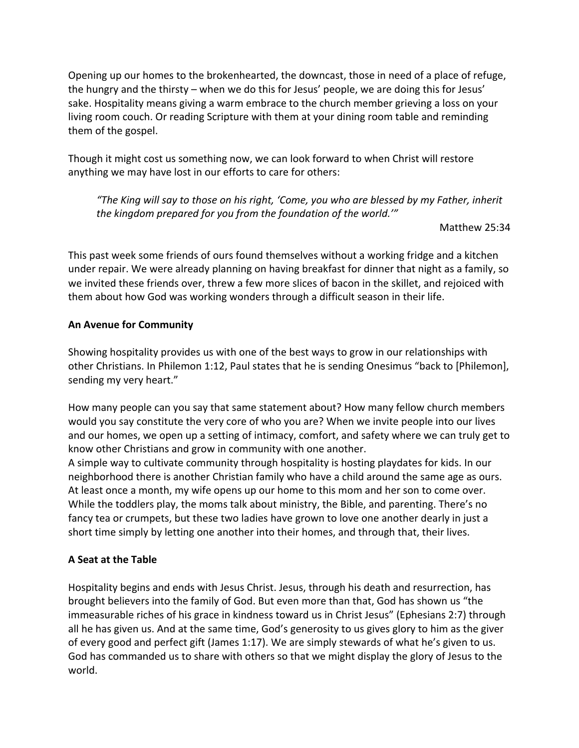Opening up our homes to the brokenhearted, the downcast, those in need of a place of refuge, the hungry and the thirsty – when we do this for Jesus' people, we are doing this for Jesus' sake. Hospitality means giving a warm embrace to the church member grieving a loss on your living room couch. Or reading Scripture with them at your dining room table and reminding them of the gospel.

Though it might cost us something now, we can look forward to when Christ will restore anything we may have lost in our efforts to care for others:

*"The King will say to those on his right, 'Come, you who are blessed by my Father, inherit the kingdom prepared for you from the foundation of the world.'"*

Matthew 25:34

This past week some friends of ours found themselves without a working fridge and a kitchen under repair. We were already planning on having breakfast for dinner that night as a family, so we invited these friends over, threw a few more slices of bacon in the skillet, and rejoiced with them about how God was working wonders through a difficult season in their life.

## **An Avenue for Community**

Showing hospitality provides us with one of the best ways to grow in our relationships with other Christians. In Philemon 1:12, Paul states that he is sending Onesimus "back to [Philemon], sending my very heart."

How many people can you say that same statement about? How many fellow church members would you say constitute the very core of who you are? When we invite people into our lives and our homes, we open up a setting of intimacy, comfort, and safety where we can truly get to know other Christians and grow in community with one another.

A simple way to cultivate community through hospitality is hosting playdates for kids. In our neighborhood there is another Christian family who have a child around the same age as ours. At least once a month, my wife opens up our home to this mom and her son to come over. While the toddlers play, the moms talk about ministry, the Bible, and parenting. There's no fancy tea or crumpets, but these two ladies have grown to love one another dearly in just a short time simply by letting one another into their homes, and through that, their lives.

## **A Seat at the Table**

Hospitality begins and ends with Jesus Christ. Jesus, through his death and resurrection, has brought believers into the family of God. But even more than that, God has shown us "the immeasurable riches of his grace in kindness toward us in Christ Jesus" (Ephesians 2:7) through all he has given us. And at the same time, God's generosity to us gives glory to him as the giver of every good and perfect gift (James 1:17). We are simply stewards of what he's given to us. God has commanded us to share with others so that we might display the glory of Jesus to the world.